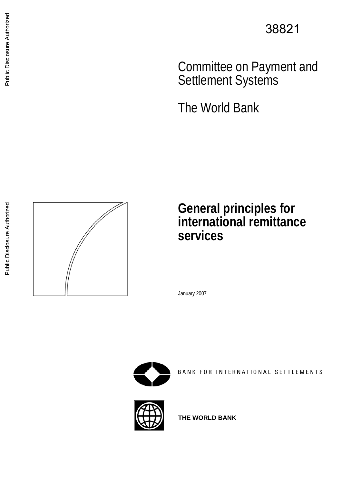38821

 Committee on Payment and Settlement Systems

The World Bank

**General principles for international remittance services** 

January 2007



BANK FOR INTERNATIONAL SETTLEMENTS

<span id="page-0-0"></span>





**THE WORLD BANK**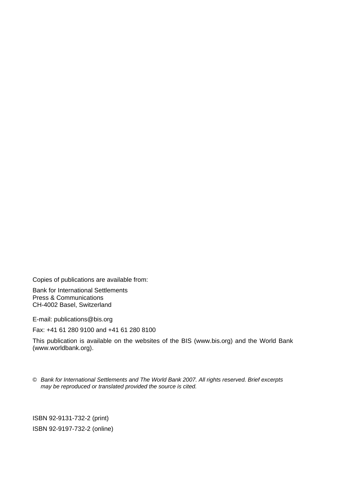Copies of publications are available from:

Bank for International Settlements Press & Communications CH-4002 Basel, Switzerland

E-mail: [publications@bis.org](mailto:publications@bis.org)

Fax: +41 61 280 9100 and +41 61 280 8100

This publication is available on the websites of the BIS ([www.bis.org\)](http://www.bis.org/) and the World Bank (www.worldbank.org).

© *Bank for International Settlements and The World Bank 2007. All rights reserved. Brief excerpts may be reproduced or translated provided the source is cited.* 

ISBN 92-9131-732-2 (print) ISBN 92-9197-732-2 (online)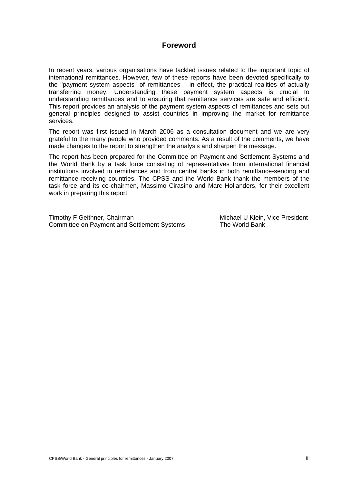# **Foreword**

In recent years, various organisations have tackled issues related to the important topic of international remittances. However, few of these reports have been devoted specifically to the "payment system aspects" of remittances – in effect, the practical realities of actually transferring money. Understanding these payment system aspects is crucial to understanding remittances and to ensuring that remittance services are safe and efficient. This report provides an analysis of the payment system aspects of remittances and sets out general principles designed to assist countries in improving the market for remittance services.

The report was first issued in March 2006 as a consultation document and we are very grateful to the many people who provided comments. As a result of the comments, we have made changes to the report to strengthen the analysis and sharpen the message.

The report has been prepared for the Committee on Payment and Settlement Systems and the World Bank by a task force consisting of representatives from international financial institutions involved in remittances and from central banks in both remittance-sending and remittance-receiving countries. The CPSS and the World Bank thank the members of the task force and its co-chairmen, Massimo Cirasino and Marc Hollanders, for their excellent work in preparing this report.

Timothy F Geithner, Chairman Michael U Klein, Vice President Committee on Payment and Settlement Systems The World Bank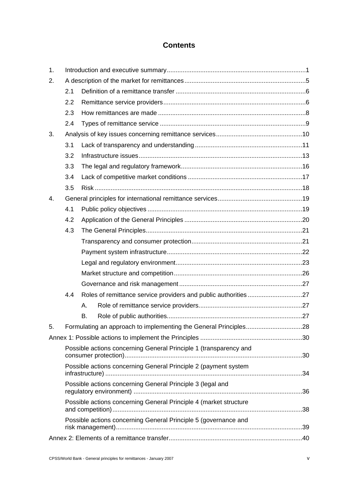# **Contents**

| 1. |                                                                   |    |                                                                  |  |  |  |
|----|-------------------------------------------------------------------|----|------------------------------------------------------------------|--|--|--|
| 2. |                                                                   |    |                                                                  |  |  |  |
|    | 2.1                                                               |    |                                                                  |  |  |  |
|    | 2.2                                                               |    |                                                                  |  |  |  |
|    | 2.3                                                               |    |                                                                  |  |  |  |
|    | 2.4                                                               |    |                                                                  |  |  |  |
| 3. |                                                                   |    |                                                                  |  |  |  |
|    | 3.1                                                               |    |                                                                  |  |  |  |
|    | 3.2                                                               |    |                                                                  |  |  |  |
|    | 3.3                                                               |    |                                                                  |  |  |  |
|    | 3.4                                                               |    |                                                                  |  |  |  |
|    | 3.5                                                               |    |                                                                  |  |  |  |
| 4. |                                                                   |    |                                                                  |  |  |  |
|    | 4.1                                                               |    |                                                                  |  |  |  |
|    | 4.2                                                               |    |                                                                  |  |  |  |
|    | 4.3                                                               |    |                                                                  |  |  |  |
|    |                                                                   |    |                                                                  |  |  |  |
|    |                                                                   |    |                                                                  |  |  |  |
|    |                                                                   |    |                                                                  |  |  |  |
|    |                                                                   |    |                                                                  |  |  |  |
|    |                                                                   |    |                                                                  |  |  |  |
|    | 4.4                                                               |    | Roles of remittance service providers and public authorities 27  |  |  |  |
|    |                                                                   | Α. |                                                                  |  |  |  |
|    |                                                                   | B. |                                                                  |  |  |  |
| 5. |                                                                   |    | Formulating an approach to implementing the General Principles28 |  |  |  |
|    |                                                                   |    |                                                                  |  |  |  |
|    | Possible actions concerning General Principle 1 (transparency and |    |                                                                  |  |  |  |
|    |                                                                   |    |                                                                  |  |  |  |
|    | Possible actions concerning General Principle 2 (payment system   |    |                                                                  |  |  |  |
|    | Possible actions concerning General Principle 3 (legal and        |    |                                                                  |  |  |  |
|    | Possible actions concerning General Principle 4 (market structure |    |                                                                  |  |  |  |
|    | Possible actions concerning General Principle 5 (governance and   |    |                                                                  |  |  |  |
|    |                                                                   |    |                                                                  |  |  |  |
|    |                                                                   |    |                                                                  |  |  |  |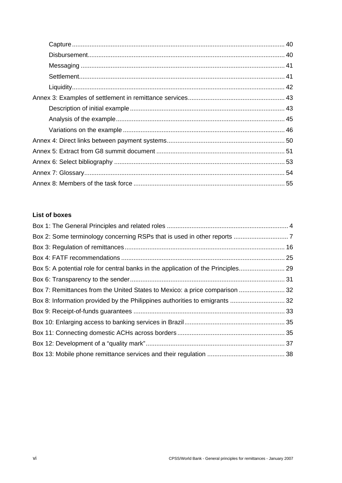# **List of boxes**

| Box 7: Remittances from the United States to Mexico: a price comparison  32 |  |
|-----------------------------------------------------------------------------|--|
| Box 8: Information provided by the Philippines authorities to emigrants  32 |  |
|                                                                             |  |
|                                                                             |  |
|                                                                             |  |
|                                                                             |  |
|                                                                             |  |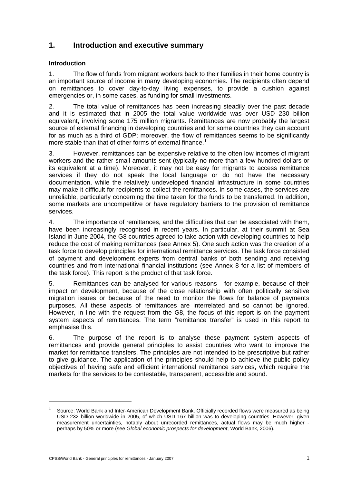# <span id="page-6-0"></span>**1. Introduction and executive summary**

## **Introduction**

1. The flow of funds from migrant workers back to their families in their home country is an important source of income in many developing economies. The recipients often depend on remittances to cover day-to-day living expenses, to provide a cushion against emergencies or, in some cases, as funding for small investments.

2. The total value of remittances has been increasing steadily over the past decade and it is estimated that in 2005 the total value worldwide was over USD 230 billion equivalent, involving some 175 million migrants. Remittances are now probably the largest source of external financing in developing countries and for some countries they can account for as much as a third of GDP; moreover, the flow of remittances seems to be significantly more stable than that of other forms of external finance.<sup>[1](#page-6-1)</sup>

3. However, remittances can be expensive relative to the often low incomes of migrant workers and the rather small amounts sent (typically no more than a few hundred dollars or its equivalent at a time). Moreover, it may not be easy for migrants to access remittance services if they do not speak the local language or do not have the necessary documentation, while the relatively undeveloped financial infrastructure in some countries may make it difficult for recipients to collect the remittances. In some cases, the services are unreliable, particularly concerning the time taken for the funds to be transferred. In addition, some markets are uncompetitive or have regulatory barriers to the provision of remittance services.

4. The importance of remittances, and the difficulties that can be associated with them, have been increasingly recognised in recent years. In particular, at their summit at Sea Island in June 2004, the G8 countries agreed to take action with developing countries to help reduce the cost of making remittances (see Annex 5). One such action was the creation of a task force to develop principles for international remittance services. The task force consisted of payment and development experts from central banks of both sending and receiving countries and from international financial institutions (see Annex 8 for a list of members of the task force). This report is the product of that task force.

5. Remittances can be analysed for various reasons - for example, because of their impact on development, because of the close relationship with often politically sensitive migration issues or because of the need to monitor the flows for balance of payments purposes. All these aspects of remittances are interrelated and so cannot be ignored. However, in line with the request from the G8, the focus of this report is on the payment system aspects of remittances. The term "remittance transfer" is used in this report to emphasise this.

6. The purpose of the report is to analyse these payment system aspects of remittances and provide general principles to assist countries who want to improve the market for remittance transfers. The principles are not intended to be prescriptive but rather to give guidance. The application of the principles should help to achieve the public policy objectives of having safe and efficient international remittance services, which require the markets for the services to be contestable, transparent, accessible and sound.

<span id="page-6-1"></span><sup>1</sup> Source: World Bank and Inter-American Development Bank. Officially recorded flows were measured as being USD 232 billion worldwide in 2005, of which USD 167 billion was to developing countries. However, given measurement uncertainties, notably about unrecorded remittances, actual flows may be much higher perhaps by 50% or more (see *Global economic prospects for development*, World Bank, 2006).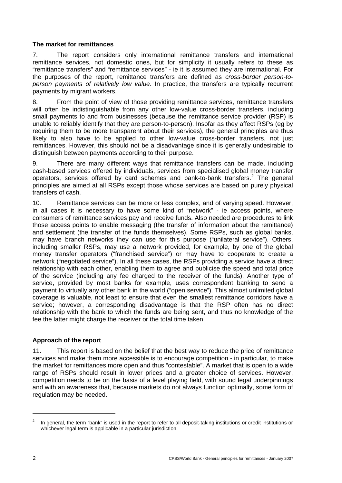## **The market for remittances**

7. The report considers only international remittance transfers and international remittance services, not domestic ones, but for simplicity it usually refers to these as "remittance transfers" and "remittance services" - ie it is assumed they are international. For the purposes of the report, remittance transfers are defined as *cross-border person-toperson payments of relatively low value*. In practice, the transfers are typically recurrent payments by migrant workers.

8. From the point of view of those providing remittance services, remittance transfers will often be indistinguishable from any other low-value cross-border transfers, including small payments to and from businesses (because the remittance service provider (RSP) is unable to reliably identify that they are person-to-person). Insofar as they affect RSPs (eg by requiring them to be more transparent about their services), the general principles are thus likely to also have to be applied to other low-value cross-border transfers, not just remittances. However, this should not be a disadvantage since it is generally undesirable to distinguish between payments according to their purpose.

9. There are many different ways that remittance transfers can be made, including cash-based services offered by individuals, services from specialised global money transfer operators, services offered by card schemes and bank-to-bank transfers.<sup>[2](#page-7-0)</sup> The general principles are aimed at all RSPs except those whose services are based on purely physical transfers of cash.

10. Remittance services can be more or less complex, and of varying speed. However, in all cases it is necessary to have some kind of "network" - ie access points, where consumers of remittance services pay and receive funds. Also needed are procedures to link those access points to enable messaging (the transfer of information about the remittance) and settlement (the transfer of the funds themselves). Some RSPs, such as global banks, may have branch networks they can use for this purpose ("unilateral service"). Others, including smaller RSPs, may use a network provided, for example, by one of the global money transfer operators ("franchised service") or may have to cooperate to create a network ("negotiated service"). In all these cases, the RSPs providing a service have a direct relationship with each other, enabling them to agree and publicise the speed and total price of the service (including any fee charged to the receiver of the funds). Another type of service, provided by most banks for example, uses correspondent banking to send a payment to virtually any other bank in the world ("open service"). This almost unlimited global coverage is valuable, not least to ensure that even the smallest remittance corridors have a service; however, a corresponding disadvantage is that the RSP often has no direct relationship with the bank to which the funds are being sent, and thus no knowledge of the fee the latter might charge the receiver or the total time taken.

## **Approach of the report**

11. This report is based on the belief that the best way to reduce the price of remittance services and make them more accessible is to encourage competition - in particular, to make the market for remittances more open and thus "contestable". A market that is open to a wide range of RSPs should result in lower prices and a greater choice of services. However, competition needs to be on the basis of a level playing field, with sound legal underpinnings and with an awareness that, because markets do not always function optimally, some form of regulation may be needed.

<span id="page-7-0"></span><sup>2</sup> In general, the term "bank" is used in the report to refer to all deposit-taking institutions or credit institutions or whichever legal term is applicable in a particular jurisdiction.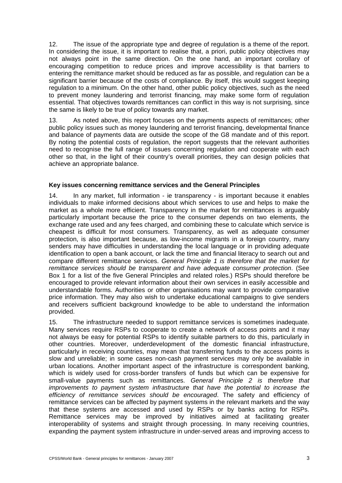12. The issue of the appropriate type and degree of regulation is a theme of the report. In considering the issue, it is important to realise that, a priori, public policy objectives may not always point in the same direction. On the one hand, an important corollary of encouraging competition to reduce prices and improve accessibility is that barriers to entering the remittance market should be reduced as far as possible, and regulation can be a significant barrier because of the costs of compliance. By itself, this would suggest keeping regulation to a minimum. On the other hand, other public policy objectives, such as the need to prevent money laundering and terrorist financing, may make some form of regulation essential. That objectives towards remittances can conflict in this way is not surprising, since the same is likely to be true of policy towards any market.

13. As noted above, this report focuses on the payments aspects of remittances; other public policy issues such as money laundering and terrorist financing, developmental finance and balance of payments data are outside the scope of the G8 mandate and of this report. By noting the potential costs of regulation, the report suggests that the relevant authorities need to recognise the full range of issues concerning regulation and cooperate with each other so that, in the light of their country's overall priorities, they can design policies that achieve an appropriate balance.

## **Key issues concerning remittance services and the General Principles**

14. In any market, full information - ie transparency - is important because it enables individuals to make informed decisions about which services to use and helps to make the market as a whole more efficient. Transparency in the market for remittances is arguably particularly important because the price to the consumer depends on two elements, the exchange rate used and any fees charged, and combining these to calculate which service is cheapest is difficult for most consumers. Transparency, as well as adequate consumer protection, is also important because, as low-income migrants in a foreign country, many senders may have difficulties in understanding the local language or in providing adequate identification to open a bank account, or lack the time and financial literacy to search out and compare different remittance services. *General Principle 1 is therefore that the market for remittance services should be transparent and have adequate consumer protection*. (See Box 1 for a list of the five General Principles and related roles.) RSPs should therefore be encouraged to provide relevant information about their own services in easily accessible and understandable forms. Authorities or other organisations may want to provide comparative price information. They may also wish to undertake educational campaigns to give senders and receivers sufficient background knowledge to be able to understand the information provided.

15. The infrastructure needed to support remittance services is sometimes inadequate. Many services require RSPs to cooperate to create a network of access points and it may not always be easy for potential RSPs to identify suitable partners to do this, particularly in other countries. Moreover, underdevelopment of the domestic financial infrastructure, particularly in receiving countries, may mean that transferring funds to the access points is slow and unreliable; in some cases non-cash payment services may only be available in urban locations. Another important aspect of the infrastructure is correspondent banking, which is widely used for cross-border transfers of funds but which can be expensive for small-value payments such as remittances. *General Principle 2 is therefore that improvements to payment system infrastructure that have the potential to increase the efficiency of remittance services should be encouraged*. The safety and efficiency of remittance services can be affected by payment systems in the relevant markets and the way that these systems are accessed and used by RSPs or by banks acting for RSPs. Remittance services may be improved by initiatives aimed at facilitating greater interoperability of systems and straight through processing. In many receiving countries, expanding the payment system infrastructure in under-served areas and improving access to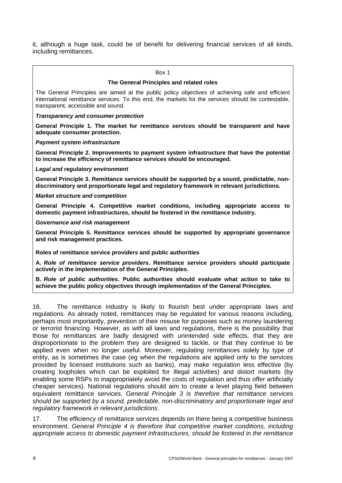<span id="page-9-0"></span>it, although a huge task, could be of benefit for delivering financial services of all kinds, including remittances.

#### Box 1

#### **The General Principles and related roles**

The General Principles are aimed at the public policy objectives of achieving safe and efficient international remittance services. To this end, the markets for the services should be contestable, transparent, accessible and sound.

*Transparency and consumer protection* 

**General Principle 1. The market for remittance services should be transparent and have adequate consumer protection.** 

*Payment system infrastructure* 

**General Principle 2. Improvements to payment system infrastructure that have the potential to increase the efficiency of remittance services should be encouraged.** 

*Legal and regulatory environment* 

**General Principle 3. Remittance services should be supported by a sound, predictable, nondiscriminatory and proportionate legal and regulatory framework in relevant jurisdictions.** 

#### *Market structure and competition*

**General Principle 4. Competitive market conditions, including appropriate access to domestic payment infrastructures, should be fostered in the remittance industry.** 

*Governance and risk management* 

**General Principle 5. Remittance services should be supported by appropriate governance and risk management practices.** 

**Roles of remittance service providers and public authorities** 

**A.** *Role of remittance service providers***. Remittance service providers should participate actively in the implementation of the General Principles.** 

**B.** *Role of public authorities***. Public authorities should evaluate what action to take to achieve the public policy objectives through implementation of the General Principles.**

16. The remittance industry is likely to flourish best under appropriate laws and regulations. As already noted, remittances may be regulated for various reasons including, perhaps most importantly, prevention of their misuse for purposes such as money laundering or terrorist financing. However, as with all laws and regulations, there is the possibility that those for remittances are badly designed with unintended side effects, that they are disproportionate to the problem they are designed to tackle, or that they continue to be applied even when no longer useful. Moreover, regulating remittances solely by type of entity, as is sometimes the case (eg when the regulations are applied only to the services provided by licensed institutions such as banks), may make regulation less effective (by creating loopholes which can be exploited for illegal activities) and distort markets (by enabling some RSPs to inappropriately avoid the costs of regulation and thus offer artificially cheaper services). National regulations should aim to create a level playing field between equivalent remittance services. *General Principle 3 is therefore that remittance services should be supported by a sound, predictable, non-discriminatory and proportionate legal and regulatory framework in relevant jurisdictions*.

17. The efficiency of remittance services depends on there being a competitive business environment. *General Principle 4 is therefore that competitive market conditions, including appropriate access to domestic payment infrastructures, should be fostered in the remittance*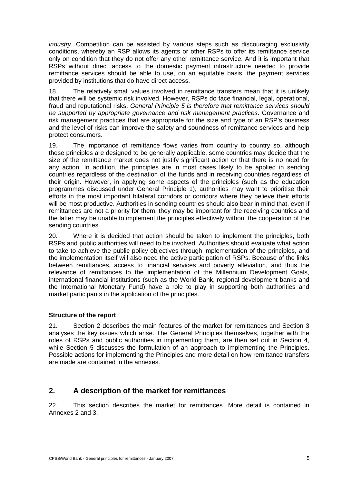<span id="page-10-0"></span>*industry*. Competition can be assisted by various steps such as discouraging exclusivity conditions, whereby an RSP allows its agents or other RSPs to offer its remittance service only on condition that they do not offer any other remittance service. And it is important that RSPs without direct access to the domestic payment infrastructure needed to provide remittance services should be able to use, on an equitable basis, the payment services provided by institutions that do have direct access.

18. The relatively small values involved in remittance transfers mean that it is unlikely that there will be systemic risk involved. However, RSPs do face financial, legal, operational, fraud and reputational risks. *General Principle 5 is therefore that remittance services should be supported by appropriate governance and risk management practices*. Governance and risk management practices that are appropriate for the size and type of an RSP's business and the level of risks can improve the safety and soundness of remittance services and help protect consumers.

19. The importance of remittance flows varies from country to country so, although these principles are designed to be generally applicable, some countries may decide that the size of the remittance market does not justify significant action or that there is no need for any action. In addition, the principles are in most cases likely to be applied in sending countries regardless of the destination of the funds and in receiving countries regardless of their origin. However, in applying some aspects of the principles (such as the education programmes discussed under General Principle 1), authorities may want to prioritise their efforts in the most important bilateral corridors or corridors where they believe their efforts will be most productive. Authorities in sending countries should also bear in mind that, even if remittances are not a priority for them, they may be important for the receiving countries and the latter may be unable to implement the principles effectively without the cooperation of the sending countries.

20. Where it is decided that action should be taken to implement the principles, both RSPs and public authorities will need to be involved. Authorities should evaluate what action to take to achieve the public policy objectives through implementation of the principles, and the implementation itself will also need the active participation of RSPs. Because of the links between remittances, access to financial services and poverty alleviation, and thus the relevance of remittances to the implementation of the Millennium Development Goals, international financial institutions (such as the World Bank, regional development banks and the International Monetary Fund) have a role to play in supporting both authorities and market participants in the application of the principles.

## **Structure of the report**

21. Section 2 describes the main features of the market for remittances and Section 3 analyses the key issues which arise. The General Principles themselves, together with the roles of RSPs and public authorities in implementing them, are then set out in Section 4, while Section 5 discusses the formulation of an approach to implementing the Principles. Possible actions for implementing the Principles and more detail on how remittance transfers are made are contained in the annexes.

# **2. A description of the market for remittances**

22. This section describes the market for remittances. More detail is contained in Annexes 2 and 3.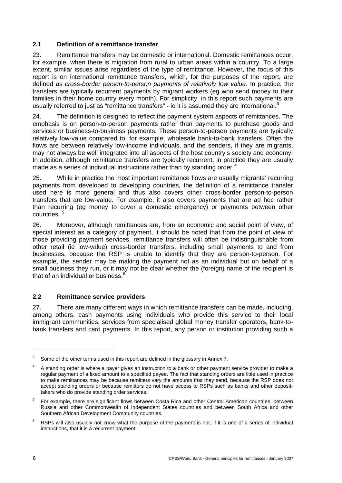## <span id="page-11-0"></span>**2.1 Definition of a remittance transfer**

23. Remittance transfers may be domestic or international. Domestic remittances occur, for example, when there is migration from rural to urban areas within a country. To a large extent, similar issues arise regardless of the type of remittance. However, the focus of this report is on international remittance transfers, which, for the purposes of the report, are defined as *cross-border person-to-person payments of relatively low value*. In practice, the transfers are typically recurrent payments by migrant workers (eg who send money to their families in their home country every month). For simplicity, in this report such payments are usually referred to just as "remittance transfers" - ie it is assumed they are international.<sup>[3](#page-11-1)</sup>

24. The definition is designed to reflect the payment system aspects of remittances. The emphasis is on person-to-person payments rather than payments to purchase goods and services or business-to-business payments. These person-to-person payments are typically relatively low-value compared to, for example, wholesale bank-to-bank transfers. Often the flows are between relatively low-income individuals, and the senders, if they are migrants, may not always be well integrated into all aspects of the host country's society and economy. In addition, although remittance transfers are typically recurrent, in practice they are usually made as a series of individual instructions rather than by standing order. $4$ 

25. While in practice the most important remittance flows are usually migrants' recurring payments from developed to developing countries, the definition of a remittance transfer used here is more general and thus also covers other cross-border person-to-person transfers that are low-value. For example, it also covers payments that are ad hoc rather than recurring (eg money to cover a domestic emergency) or payments between other countries. [5](#page-11-3)

26. Moreover, although remittances are, from an economic and social point of view, of special interest as a category of payment, it should be noted that from the point of view of those providing payment services, remittance transfers will often be indistinguishable from other retail (ie low-value) cross-border transfers, including small payments to and from businesses, because the RSP is unable to identify that they are person-to-person. For example, the sender may be making the payment not as an individual but on behalf of a small business they run, or it may not be clear whether the (foreign) name of the recipient is that of an individual or business.[6](#page-11-4)

# **2.2 Remittance service providers**

27. There are many different ways in which remittance transfers can be made, including, among others, cash payments using individuals who provide this service to their local immigrant communities, services from specialised global money transfer operators, bank-tobank transfers and card payments. In this report, any person or institution providing such a

<span id="page-11-1"></span><sup>3</sup> Some of the other terms used in this report are defined in the glossary in Annex 7.

<span id="page-11-2"></span><sup>4</sup> A standing order is where a payer gives an instruction to a bank or other payment service provider to make a regular payment of a fixed amount to a specified payee. The fact that standing orders are little used in practice to make remittances may be because remitters vary the amounts that they send, because the RSP does not accept standing orders or because remitters do not have access to RSPs such as banks and other deposittakers who do provide standing order services.

<span id="page-11-3"></span><sup>5</sup> For example, there are significant flows between Costa Rica and other Central American countries, between Russia and other Commonwealth of Independent States countries and between South Africa and other Southern African Development Community countries.

<span id="page-11-4"></span><sup>6</sup> RSPs will also usually not know what the purpose of the payment is nor, if it is one of a series of individual instructions, that it is a recurrent payment.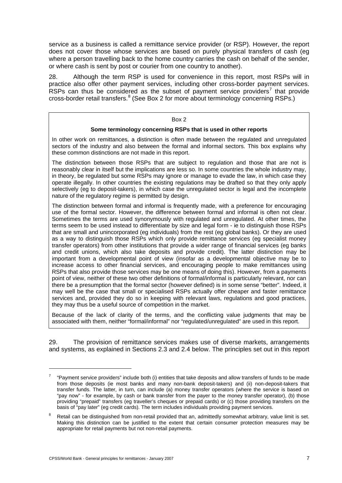<span id="page-12-0"></span>service as a business is called a remittance service provider (or RSP). However, the report does not cover those whose services are based on purely physical transfers of cash (eg where a person travelling back to the home country carries the cash on behalf of the sender, or where cash is sent by post or courier from one country to another).

28. Although the term RSP is used for convenience in this report, most RSPs will in practice also offer other payment services, including other cross-border payment services. RSPs can thus be considered as the subset of payment service providers<sup>[7](#page-12-1)</sup> that provide cross-border retail transfers.<sup>[8](#page-12-2)</sup> (See Box 2 for more about terminology concerning RSPs.)

#### Box 2

#### **Some terminology concerning RSPs that is used in other reports**

In other work on remittances, a distinction is often made between the regulated and unregulated sectors of the industry and also between the formal and informal sectors. This box explains why these common distinctions are not made in this report.

The distinction between those RSPs that are subject to regulation and those that are not is reasonably clear in itself but the implications are less so. In some countries the whole industry may, in theory, be regulated but some RSPs may ignore or manage to evade the law, in which case they operate illegally. In other countries the existing regulations may be drafted so that they only apply selectively (eg to deposit-takers), in which case the unregulated sector is legal and the incomplete nature of the regulatory regime is permitted by design.

The distinction between formal and informal is frequently made, with a preference for encouraging use of the formal sector. However, the difference between formal and informal is often not clear. Sometimes the terms are used synonymously with regulated and unregulated. At other times, the terms seem to be used instead to differentiate by size and legal form - ie to distinguish those RSPs that are small and unincorporated (eg individuals) from the rest (eg global banks). Or they are used as a way to distinguish those RSPs which only provide remittance services (eg specialist money transfer operators) from other institutions that provide a wider range of financial services (eg banks and credit unions, which also take deposits and provide credit). The latter distinction may be important from a developmental point of view (insofar as a developmental objective may be to increase access to other financial services, and encouraging people to make remittances using RSPs that also provide those services may be one means of doing this). However, from a payments point of view, neither of these two other definitions of formal/informal is particularly relevant, nor can there be a presumption that the formal sector (however defined) is in some sense "better". Indeed, it may well be the case that small or specialised RSPs actually offer cheaper and faster remittance services and, provided they do so in keeping with relevant laws, regulations and good practices, they may thus be a useful source of competition in the market.

Because of the lack of clarity of the terms, and the conflicting value judgments that may be associated with them, neither "formal/informal" nor "regulated/unregulated" are used in this report.

29. The provision of remittance services makes use of diverse markets, arrangements and systems, as explained in Sections 2.3 and 2.4 below. The principles set out in this report

<span id="page-12-1"></span><sup>7</sup> "Payment service providers" include both (i) entities that take deposits and allow transfers of funds to be made from those deposits (ie most banks and many non-bank deposit-takers) and (ii) non-deposit-takers that transfer funds. The latter, in turn, can include (a) money transfer operators (where the service is based on "pay now" - for example, by cash or bank transfer from the payer to the money transfer operator), (b) those providing "prepaid" transfers (eg traveller's cheques or prepaid cards) or (c) those providing transfers on the basis of "pay later" (eg credit cards). The term includes individuals providing payment services.

<span id="page-12-2"></span><sup>8</sup> Retail can be distinguished from non-retail provided that an, admittedly somewhat arbitrary, value limit is set. Making this distinction can be justified to the extent that certain consumer protection measures may be appropriate for retail payments but not non-retail payments.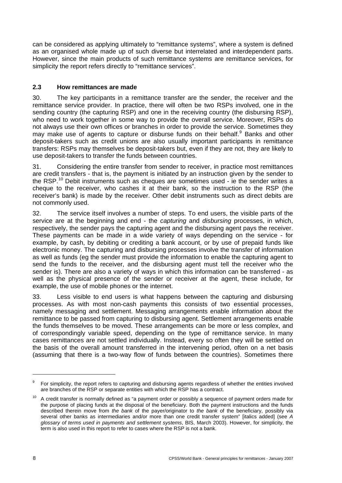<span id="page-13-0"></span>can be considered as applying ultimately to "remittance systems", where a system is defined as an organised whole made up of such diverse but interrelated and interdependent parts. However, since the main products of such remittance systems are remittance services, for simplicity the report refers directly to "remittance services".

## **2.3 How remittances are made**

30. The key participants in a remittance transfer are the sender, the receiver and the remittance service provider. In practice, there will often be two RSPs involved, one in the sending country (the capturing RSP) and one in the receiving country (the disbursing RSP), who need to work together in some way to provide the overall service. Moreover, RSPs do not always use their own offices or branches in order to provide the service. Sometimes they may make use of agents to capture or disburse funds on their behalf.<sup>[9](#page-13-1)</sup> Banks and other deposit-takers such as credit unions are also usually important participants in remittance transfers: RSPs may themselves be deposit-takers but, even if they are not, they are likely to use deposit-takers to transfer the funds between countries.

31. Considering the entire transfer from sender to receiver, in practice most remittances are credit transfers - that is, the payment is initiated by an instruction given by the sender to the RSP.<sup>[10](#page-13-2)</sup> Debit instruments such as cheques are sometimes used - ie the sender writes a cheque to the receiver, who cashes it at their bank, so the instruction to the RSP (the receiver's bank) is made by the receiver. Other debit instruments such as direct debits are not commonly used.

32. The service itself involves a number of steps. To end users, the visible parts of the service are at the beginning and end - the *capturing* and *disbursing* processes, in which, respectively, the sender pays the capturing agent and the disbursing agent pays the receiver. These payments can be made in a wide variety of ways depending on the service - for example, by cash, by debiting or crediting a bank account, or by use of prepaid funds like electronic money. The capturing and disbursing processes involve the transfer of information as well as funds (eg the sender must provide the information to enable the capturing agent to send the funds to the receiver, and the disbursing agent must tell the receiver who the sender is). There are also a variety of ways in which this information can be transferred - as well as the physical presence of the sender or receiver at the agent, these include, for example, the use of mobile phones or the internet.

33. Less visible to end users is what happens between the capturing and disbursing processes. As with most non-cash payments this consists of two essential processes, namely messaging and settlement. Messaging arrangements enable information about the remittance to be passed from capturing to disbursing agent. Settlement arrangements enable the funds themselves to be moved. These arrangements can be more or less complex, and of correspondingly variable speed, depending on the type of remittance service. In many cases remittances are not settled individually. Instead, every so often they will be settled on the basis of the overall amount transferred in the intervening period, often on a net basis (assuming that there is a two-way flow of funds between the countries). Sometimes there

<span id="page-13-1"></span><sup>9</sup> For simplicity, the report refers to capturing and disbursing agents regardless of whether the entities involved are branches of the RSP or separate entities with which the RSP has a contract.

<span id="page-13-2"></span> $10$  A credit transfer is normally defined as "a payment order or possibly a sequence of payment orders made for the purpose of placing funds at the disposal of the beneficiary. Both the payment instructions and the funds described therein move from *the bank* of the payer/originator to *the bank* of the beneficiary, possibly via several other banks as intermediaries and/or more than one credit transfer system" [italics added] (see *A glossary of terms used in payments and settlement systems*, BIS, March 2003). However, for simplicity, the term is also used in this report to refer to cases where the RSP is not a bank.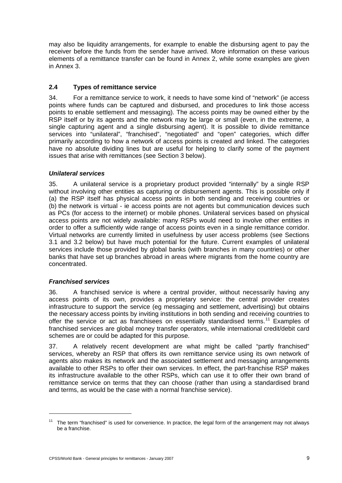<span id="page-14-0"></span>may also be liquidity arrangements, for example to enable the disbursing agent to pay the receiver before the funds from the sender have arrived. More information on these various elements of a remittance transfer can be found in Annex 2, while some examples are given in Annex 3.

# **2.4 Types of remittance service**

34. For a remittance service to work, it needs to have some kind of "network" (ie access points where funds can be captured and disbursed, and procedures to link those access points to enable settlement and messaging). The access points may be owned either by the RSP itself or by its agents and the network may be large or small (even, in the extreme, a single capturing agent and a single disbursing agent). It is possible to divide remittance services into "unilateral", "franchised", "negotiated" and "open" categories, which differ primarily according to how a network of access points is created and linked. The categories have no absolute dividing lines but are useful for helping to clarify some of the payment issues that arise with remittances (see Section 3 below).

## *Unilateral services*

35. A unilateral service is a proprietary product provided "internally" by a single RSP without involving other entities as capturing or disbursement agents. This is possible only if (a) the RSP itself has physical access points in both sending and receiving countries or (b) the network is virtual - ie access points are not agents but communication devices such as PCs (for access to the internet) or mobile phones. Unilateral services based on physical access points are not widely available: many RSPs would need to involve other entities in order to offer a sufficiently wide range of access points even in a single remittance corridor. Virtual networks are currently limited in usefulness by user access problems (see Sections 3.1 and 3.2 below) but have much potential for the future. Current examples of unilateral services include those provided by global banks (with branches in many countries) or other banks that have set up branches abroad in areas where migrants from the home country are concentrated.

## *Franchised services*

 $\overline{a}$ 

36. A franchised service is where a central provider, without necessarily having any access points of its own, provides a proprietary service: the central provider creates infrastructure to support the service (eg messaging and settlement, advertising) but obtains the necessary access points by inviting institutions in both sending and receiving countries to offer the service or act as franchisees on essentially standardised terms.<sup>[1](#page-14-1)1</sup> Examples of franchised services are global money transfer operators, while international credit/debit card schemes are or could be adapted for this purpose.

37. A relatively recent development are what might be called "partly franchised" services, whereby an RSP that offers its own remittance service using its own network of agents also makes its network and the associated settlement and messaging arrangements available to other RSPs to offer their own services. In effect, the part-franchise RSP makes its infrastructure available to the other RSPs, which can use it to offer their own brand of remittance service on terms that they can choose (rather than using a standardised brand and terms, as would be the case with a normal franchise service).

<span id="page-14-1"></span> $11$  The term "franchised" is used for convenience. In practice, the legal form of the arrangement may not always be a franchise.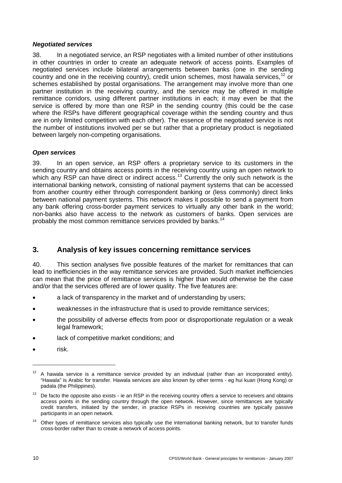#### <span id="page-15-0"></span>*Negotiated services*

38. In a negotiated service, an RSP negotiates with a limited number of other institutions in other countries in order to create an adequate network of access points. Examples of negotiated services include bilateral arrangements between banks (one in the sending country and one in the receiving country), credit union schemes, most hawala services,  $12$  or schemes established by postal organisations. The arrangement may involve more than one partner institution in the receiving country, and the service may be offered in multiple remittance corridors, using different partner institutions in each; it may even be that the service is offered by more than one RSP in the sending country (this could be the case where the RSPs have different geographical coverage within the sending country and thus are in only limited competition with each other). The essence of the negotiated service is not the number of institutions involved per se but rather that a proprietary product is negotiated between largely non-competing organisations.

## *Open services*

39. In an open service, an RSP offers a proprietary service to its customers in the sending country and obtains access points in the receiving country using an open network to which any RSP can have direct or indirect access.<sup>[13](#page-15-2)</sup> Currently the only such network is the international banking network, consisting of national payment systems that can be accessed from another country either through correspondent banking or (less commonly) direct links between national payment systems. This network makes it possible to send a payment from any bank offering cross-border payment services to virtually any other bank in the world; non-banks also have access to the network as customers of banks. Open services are probably the most common remittance services provided by banks.<sup>[14](#page-15-3)</sup>

# **3. Analysis of key issues concerning remittance services**

40. This section analyses five possible features of the market for remittances that can lead to inefficiencies in the way remittance services are provided. Such market inefficiencies can mean that the price of remittance services is higher than would otherwise be the case and/or that the services offered are of lower quality. The five features are:

- a lack of transparency in the market and of understanding by users;
- weaknesses in the infrastructure that is used to provide remittance services;
- the possibility of adverse effects from poor or disproportionate regulation or a weak legal framework;
- lack of competitive market conditions; and
- risk.

<span id="page-15-1"></span> $12$  A hawala service is a remittance service provided by an individual (rather than an incorporated entity). "Hawala" is Arabic for transfer. Hawala services are also known by other terms - eg hui kuan (Hong Kong) or padala (the Philippines).

<span id="page-15-2"></span> $13$  De facto the opposite also exists - ie an RSP in the receiving country offers a service to receivers and obtains access points in the sending country through the open network. However, since remittances are typically credit transfers, initiated by the sender, in practice RSPs in receiving countries are typically passive participants in an open network.

<span id="page-15-3"></span><sup>&</sup>lt;sup>14</sup> Other types of remittance services also typically use the international banking network, but to transfer funds cross-border rather than to create a network of access points.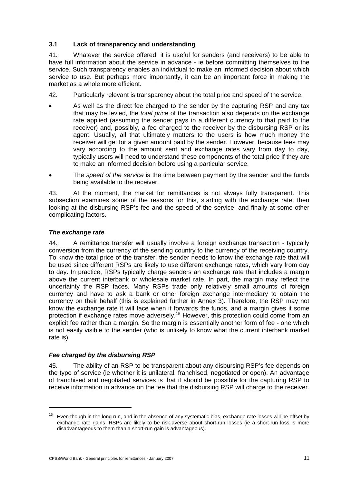## <span id="page-16-0"></span>**3.1 Lack of transparency and understanding**

41. Whatever the service offered, it is useful for senders (and receivers) to be able to have full information about the service in advance - ie before committing themselves to the service. Such transparency enables an individual to make an informed decision about which service to use. But perhaps more importantly, it can be an important force in making the market as a whole more efficient.

- 42. Particularly relevant is transparency about the total price and speed of the service.
- As well as the direct fee charged to the sender by the capturing RSP and any tax that may be levied, the *total price* of the transaction also depends on the exchange rate applied (assuming the sender pays in a different currency to that paid to the receiver) and, possibly, a fee charged to the receiver by the disbursing RSP or its agent. Usually, all that ultimately matters to the users is how much money the receiver will get for a given amount paid by the sender. However, because fees may vary according to the amount sent and exchange rates vary from day to day, typically users will need to understand these components of the total price if they are to make an informed decision before using a particular service.
- The *speed of the service* is the time between payment by the sender and the funds being available to the receiver.

43. At the moment, the market for remittances is not always fully transparent. This subsection examines some of the reasons for this, starting with the exchange rate, then looking at the disbursing RSP's fee and the speed of the service, and finally at some other complicating factors.

## *The exchange rate*

1

44. A remittance transfer will usually involve a foreign exchange transaction - typically conversion from the currency of the sending country to the currency of the receiving country. To know the total price of the transfer, the sender needs to know the exchange rate that will be used since different RSPs are likely to use different exchange rates, which vary from day to day. In practice, RSPs typically charge senders an exchange rate that includes a margin above the current interbank or wholesale market rate. In part, the margin may reflect the uncertainty the RSP faces. Many RSPs trade only relatively small amounts of foreign currency and have to ask a bank or other foreign exchange intermediary to obtain the currency on their behalf (this is explained further in Annex 3). Therefore, the RSP may not know the exchange rate it will face when it forwards the funds, and a margin gives it some protection if exchange rates move adversely.<sup>[1](#page-16-1)5</sup> However, this protection could come from an explicit fee rather than a margin. So the margin is essentially another form of fee - one which is not easily visible to the sender (who is unlikely to know what the current interbank market rate is).

## *Fee charged by the disbursing RSP*

45. The ability of an RSP to be transparent about any disbursing RSP's fee depends on the type of service (ie whether it is unilateral, franchised, negotiated or open). An advantage of franchised and negotiated services is that it should be possible for the capturing RSP to receive information in advance on the fee that the disbursing RSP will charge to the receiver.

<span id="page-16-1"></span>Even though in the long run, and in the absence of any systematic bias, exchange rate losses will be offset by exchange rate gains, RSPs are likely to be risk-averse about short-run losses (ie a short-run loss is more disadvantageous to them than a short-run gain is advantageous).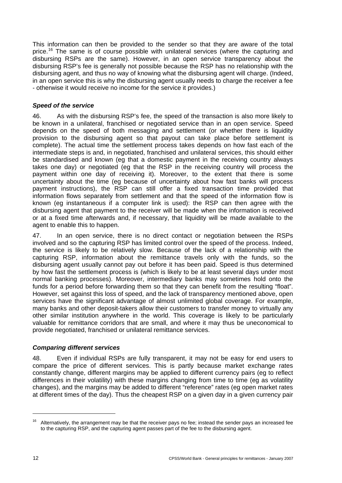This information can then be provided to the sender so that they are aware of the total price.<sup>[1](#page-17-0)6</sup> The same is of course possible with unilateral services (where the capturing and disbursing RSPs are the same). However, in an open service transparency about the disbursing RSP's fee is generally not possible because the RSP has no relationship with the disbursing agent, and thus no way of knowing what the disbursing agent will charge. (Indeed, in an open service this is why the disbursing agent usually needs to charge the receiver a fee - otherwise it would receive no income for the service it provides.)

## *Speed of the service*

46. As with the disbursing RSP's fee, the speed of the transaction is also more likely to be known in a unilateral, franchised or negotiated service than in an open service. Speed depends on the speed of both messaging and settlement (or whether there is liquidity provision to the disbursing agent so that payout can take place before settlement is complete). The actual time the settlement process takes depends on how fast each of the intermediate steps is and, in negotiated, franchised and unilateral services, this should either be standardised and known (eg that a domestic payment in the receiving country always takes one day) or negotiated (eg that the RSP in the receiving country will process the payment within one day of receiving it). Moreover, to the extent that there is some uncertainty about the time (eg because of uncertainty about how fast banks will process payment instructions), the RSP can still offer a fixed transaction time provided that information flows separately from settlement and that the speed of the information flow is known (eg instantaneous if a computer link is used): the RSP can then agree with the disbursing agent that payment to the receiver will be made when the information is received or at a fixed time afterwards and, if necessary, that liquidity will be made available to the agent to enable this to happen.

47. In an open service, there is no direct contact or negotiation between the RSPs involved and so the capturing RSP has limited control over the speed of the process. Indeed, the service is likely to be relatively slow. Because of the lack of a relationship with the capturing RSP, information about the remittance travels only with the funds, so the disbursing agent usually cannot pay out before it has been paid. Speed is thus determined by how fast the settlement process is (which is likely to be at least several days under most normal banking processes). Moreover, intermediary banks may sometimes hold onto the funds for a period before forwarding them so that they can benefit from the resulting "float". However, set against this loss of speed, and the lack of transparency mentioned above, open services have the significant advantage of almost unlimited global coverage. For example, many banks and other deposit-takers allow their customers to transfer money to virtually any other similar institution anywhere in the world. This coverage is likely to be particularly valuable for remittance corridors that are small, and where it may thus be uneconomical to provide negotiated, franchised or unilateral remittance services.

## *Comparing different services*

48. Even if individual RSPs are fully transparent, it may not be easy for end users to compare the price of different services. This is partly because market exchange rates constantly change, different margins may be applied to different currency pairs (eg to reflect differences in their volatility) with these margins changing from time to time (eg as volatility changes), and the margins may be added to different "reference" rates (eg open market rates at different times of the day). Thus the cheapest RSP on a given day in a given currency pair

<span id="page-17-0"></span> $16$  Alternatively, the arrangement may be that the receiver pays no fee; instead the sender pays an increased fee to the capturing RSP, and the capturing agent passes part of the fee to the disbursing agent.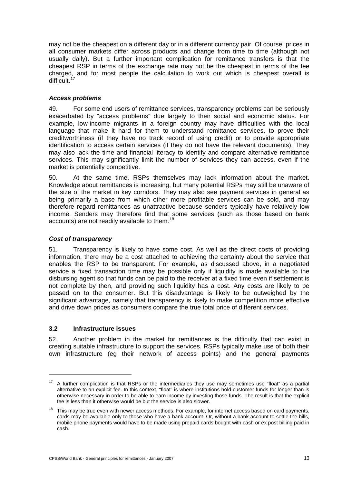<span id="page-18-0"></span>may not be the cheapest on a different day or in a different currency pair. Of course, prices in all consumer markets differ across products and change from time to time (although not usually daily). But a further important complication for remittance transfers is that the cheapest RSP in terms of the exchange rate may not be the cheapest in terms of the fee charged, and for most people the calculation to work out which is cheapest overall is difficult. $17$ 

## *Access problems*

49. For some end users of remittance services, transparency problems can be seriously exacerbated by "access problems" due largely to their social and economic status. For example, low-income migrants in a foreign country may have difficulties with the local language that make it hard for them to understand remittance services, to prove their creditworthiness (if they have no track record of using credit) or to provide appropriate identification to access certain services (if they do not have the relevant documents). They may also lack the time and financial literacy to identify and compare alternative remittance services. This may significantly limit the number of services they can access, even if the market is potentially competitive.

50. At the same time, RSPs themselves may lack information about the market. Knowledge about remittances is increasing, but many potential RSPs may still be unaware of the size of the market in key corridors. They may also see payment services in general as being primarily a base from which other more profitable services can be sold, and may therefore regard remittances as unattractive because senders typically have relatively low income. Senders may therefore find that some services (such as those based on bank accounts) are not readily available to them.<sup>[1](#page-18-2)8</sup>

## *Cost of transparency*

51. Transparency is likely to have some cost. As well as the direct costs of providing information, there may be a cost attached to achieving the certainty about the service that enables the RSP to be transparent. For example, as discussed above, in a negotiated service a fixed transaction time may be possible only if liquidity is made available to the disbursing agent so that funds can be paid to the receiver at a fixed time even if settlement is not complete by then, and providing such liquidity has a cost. Any costs are likely to be passed on to the consumer. But this disadvantage is likely to be outweighed by the significant advantage, namely that transparency is likely to make competition more effective and drive down prices as consumers compare the true total price of different services.

## **3.2 Infrastructure issues**

-

52. Another problem in the market for remittances is the difficulty that can exist in creating suitable infrastructure to support the services. RSPs typically make use of both their own infrastructure (eg their network of access points) and the general payments

<span id="page-18-1"></span><sup>&</sup>lt;sup>17</sup> A further complication is that RSPs or the intermediaries they use may sometimes use "float" as a partial alternative to an explicit fee. In this context, "float" is where institutions hold customer funds for longer than is otherwise necessary in order to be able to earn income by investing those funds. The result is that the explicit fee is less than it otherwise would be but the service is also slower.

<span id="page-18-2"></span> $18$  This may be true even with newer access methods. For example, for internet access based on card payments, cards may be available only to those who have a bank account. Or, without a bank account to settle the bills, mobile phone payments would have to be made using prepaid cards bought with cash or ex post billing paid in cash.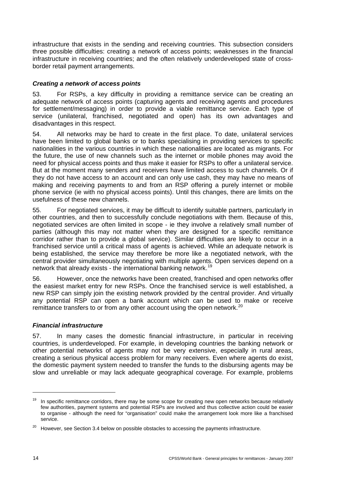infrastructure that exists in the sending and receiving countries. This subsection considers three possible difficulties: creating a network of access points; weaknesses in the financial infrastructure in receiving countries; and the often relatively underdeveloped state of crossborder retail payment arrangements.

## *Creating a network of access points*

53. For RSPs, a key difficulty in providing a remittance service can be creating an adequate network of access points (capturing agents and receiving agents and procedures for settlement/messaging) in order to provide a viable remittance service. Each type of service (unilateral, franchised, negotiated and open) has its own advantages and disadvantages in this respect.

54. All networks may be hard to create in the first place. To date, unilateral services have been limited to global banks or to banks specialising in providing services to specific nationalities in the various countries in which these nationalities are located as migrants. For the future, the use of new channels such as the internet or mobile phones may avoid the need for physical access points and thus make it easier for RSPs to offer a unilateral service. But at the moment many senders and receivers have limited access to such channels. Or if they do not have access to an account and can only use cash, they may have no means of making and receiving payments to and from an RSP offering a purely internet or mobile phone service (ie with no physical access points). Until this changes, there are limits on the usefulness of these new channels.

55. For negotiated services, it may be difficult to identify suitable partners, particularly in other countries, and then to successfully conclude negotiations with them. Because of this, negotiated services are often limited in scope - ie they involve a relatively small number of parties (although this may not matter when they are designed for a specific remittance corridor rather than to provide a global service). Similar difficulties are likely to occur in a franchised service until a critical mass of agents is achieved. While an adequate network is being established, the service may therefore be more like a negotiated network, with the central provider simultaneously negotiating with multiple agents. Open services depend on a network that already exists - the international banking network.<sup>[19](#page-19-0)</sup>

56. However, once the networks have been created, franchised and open networks offer the easiest market entry for new RSPs. Once the franchised service is well established, a new RSP can simply join the existing network provided by the central provider. And virtually any potential RSP can open a bank account which can be used to make or receive remittance transfers to or from any other account using the open network.<sup>[20](#page-19-1)</sup>

## *Financial infrastructure*

57. In many cases the domestic financial infrastructure, in particular in receiving countries, is underdeveloped. For example, in developing countries the banking network or other potential networks of agents may not be very extensive, especially in rural areas, creating a serious physical access problem for many receivers. Even where agents do exist, the domestic payment system needed to transfer the funds to the disbursing agents may be slow and unreliable or may lack adequate geographical coverage. For example, problems

 $\overline{a}$ 

<span id="page-19-0"></span><sup>&</sup>lt;sup>19</sup> In specific remittance corridors, there may be some scope for creating new open networks because relatively few authorities, payment systems and potential RSPs are involved and thus collective action could be easier to organise - although the need for "organisation" could make the arrangement look more like a franchised service.

<span id="page-19-1"></span> $20$  However, see Section 3.4 below on possible obstacles to accessing the payments infrastructure.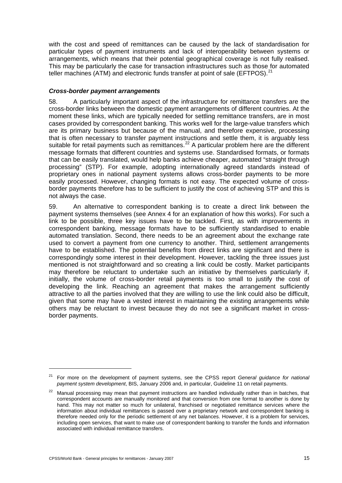with the cost and speed of remittances can be caused by the lack of standardisation for particular types of payment instruments and lack of interoperability between systems or arrangements, which means that their potential geographical coverage is not fully realised. This may be particularly the case for transaction infrastructures such as those for automated teller machines (ATM) and electronic funds transfer at point of sale (EFTPOS). $^{21}$  $^{21}$  $^{21}$ 

## *Cross-border payment arrangements*

58. A particularly important aspect of the infrastructure for remittance transfers are the cross-border links between the domestic payment arrangements of different countries. At the moment these links, which are typically needed for settling remittance transfers, are in most cases provided by correspondent banking. This works well for the large-value transfers which are its primary business but because of the manual, and therefore expensive, processing that is often necessary to transfer payment instructions and settle them, it is arguably less suitable for retail payments such as remittances.<sup>[2](#page-20-1)2</sup> A particular problem here are the different message formats that different countries and systems use. Standardised formats, or formats that can be easily translated, would help banks achieve cheaper, automated "straight through processing" (STP). For example, adopting internationally agreed standards instead of proprietary ones in national payment systems allows cross-border payments to be more easily processed. However, changing formats is not easy. The expected volume of crossborder payments therefore has to be sufficient to justify the cost of achieving STP and this is not always the case.

59. An alternative to correspondent banking is to create a direct link between the payment systems themselves (see Annex 4 for an explanation of how this works). For such a link to be possible, three key issues have to be tackled. First, as with improvements in correspondent banking, message formats have to be sufficiently standardised to enable automated translation. Second, there needs to be an agreement about the exchange rate used to convert a payment from one currency to another. Third, settlement arrangements have to be established. The potential benefits from direct links are significant and there is correspondingly some interest in their development. However, tackling the three issues just mentioned is not straightforward and so creating a link could be costly. Market participants may therefore be reluctant to undertake such an initiative by themselves particularly if, initially, the volume of cross-border retail payments is too small to justify the cost of developing the link. Reaching an agreement that makes the arrangement sufficiently attractive to all the parties involved that they are willing to use the link could also be difficult, given that some may have a vested interest in maintaining the existing arrangements while others may be reluctant to invest because they do not see a significant market in crossborder payments.

<span id="page-20-0"></span><sup>21</sup> For more on the development of payment systems, see the CPSS report *General guidance for national payment system development*, BIS, January 2006 and, in particular, Guideline 11 on retail payments.

<span id="page-20-1"></span><sup>&</sup>lt;sup>22</sup> Manual processing may mean that payment instructions are handled individually rather than in batches, that correspondent accounts are manually monitored and that conversion from one format to another is done by hand. This may not matter so much for unilateral, franchised or negotiated remittance services where the information about individual remittances is passed over a proprietary network and correspondent banking is therefore needed only for the periodic settlement of any net balances. However, it is a problem for services, including open services, that want to make use of correspondent banking to transfer the funds and information associated with individual remittance transfers.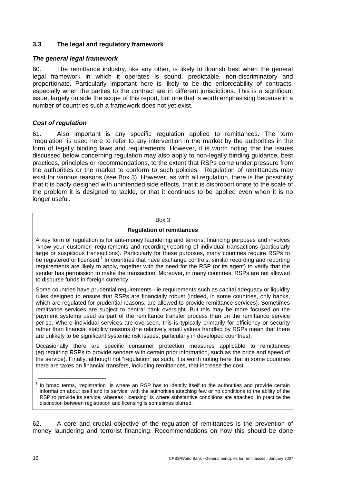## <span id="page-21-0"></span>**3.3 The legal and regulatory framework**

#### *The general legal framework*

60. The remittance industry, like any other, is likely to flourish best when the general legal framework in which it operates is sound, predictable, non-discriminatory and proportionate. Particularly important here is likely to be the enforceability of contracts, especially when the parties to the contract are in different jurisdictions. This is a significant issue, largely outside the scope of this report, but one that is worth emphasising because in a number of countries such a framework does not yet exist.

#### *Cost of regulation*

61. Also important is any specific regulation applied to remittances. The term "regulation" is used here to refer to any intervention in the market by the authorities in the form of legally binding laws and requirements. However, it is worth noting that the issues discussed below concerning regulation may also apply to non-legally binding guidance, best practices, principles or recommendations, to the extent that RSPs come under pressure from the authorities or the market to conform to such policies. Regulation of remittances may exist for various reasons (see Box 3). However, as with all regulation, there is the possibility that it is badly designed with unintended side effects, that it is disproportionate to the scale of the problem it is designed to tackle, or that it continues to be applied even when it is no longer useful.

#### Box 3

#### **Regulation of remittances**

A key form of regulation is for anti-money laundering and terrorist financing purposes and involves "know your customer" requirements and recording/reporting of individual transactions (particularly large or suspicious transactions). Particularly for these purposes, many countries require RSPs to be registered or licensed.<sup>1</sup> In countries that have exchange controls, similar recording and reporting requirements are likely to apply, together with the need for the RSP (or its agent) to verify that the sender has permission to make the transaction. Moreover, in many countries, RSPs are not allowed to disburse funds in foreign currency.

Some countries have prudential requirements - ie requirements such as capital adequacy or liquidity rules designed to ensure that RSPs are financially robust (indeed, in some countries, only banks, which are regulated for prudential reasons, are allowed to provide remittance services). Sometimes remittance services are subject to central bank oversight. But this may be more focused on the payment systems used as part of the remittance transfer process than on the remittance service per se. Where individual services are overseen, this is typically primarily for efficiency or security rather than financial stability reasons (the relatively small values handled by RSPs mean that there are unlikely to be significant systemic risk issues, particularly in developed countries).

Occasionally there are specific consumer protection measures applicable to remittances (eg requiring RSPs to provide senders with certain prior information, such as the price and speed of the service). Finally, although not "regulation" as such, it is worth noting here that in some countries there are taxes on financial transfers, including remittances, that increase the cost.

62. A core and crucial objective of the regulation of remittances is the prevention of money laundering and terrorist financing. Recommendations on how this should be done

\_\_\_\_\_\_\_\_\_\_\_\_\_\_\_\_\_\_\_\_\_

 $1$  In broad terms, "registration" is where an RSP has to identify itself to the authorities and provide certain information about itself and its service, with the authorities attaching few or no conditions to the ability of the RSP to provide its service, whereas "licensing" is where substantive conditions are attached. In practice the distinction between registration and licensing is sometimes blurred.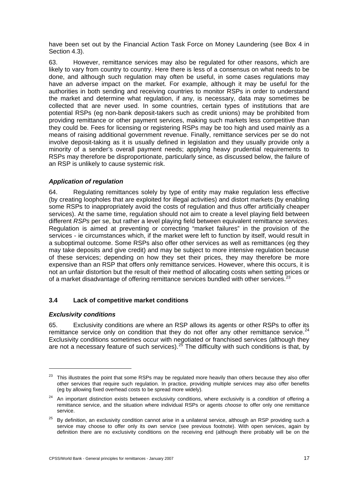<span id="page-22-0"></span>have been set out by the Financial Action Task Force on Money Laundering (see Box 4 in Section 4.3).

63. However, remittance services may also be regulated for other reasons, which are likely to vary from country to country. Here there is less of a consensus on what needs to be done, and although such regulation may often be useful, in some cases regulations may have an adverse impact on the market. For example, although it may be useful for the authorities in both sending and receiving countries to monitor RSPs in order to understand the market and determine what regulation, if any, is necessary, data may sometimes be collected that are never used. In some countries, certain types of institutions that are potential RSPs (eg non-bank deposit-takers such as credit unions) may be prohibited from providing remittance or other payment services, making such markets less competitive than they could be. Fees for licensing or registering RSPs may be too high and used mainly as a means of raising additional government revenue. Finally, remittance services per se do not involve deposit-taking as it is usually defined in legislation and they usually provide only a minority of a sender's overall payment needs; applying heavy prudential requirements to RSPs may therefore be disproportionate, particularly since, as discussed below, the failure of an RSP is unlikely to cause systemic risk.

## *Application of regulation*

64. Regulating remittances solely by type of entity may make regulation less effective (by creating loopholes that are exploited for illegal activities) and distort markets (by enabling some RSPs to inappropriately avoid the costs of regulation and thus offer artificially cheaper services). At the same time, regulation should not aim to create a level playing field between different *RSPs* per se, but rather a level playing field between equivalent remittance *services*. Regulation is aimed at preventing or correcting "market failures" in the provision of the services - ie circumstances which, if the market were left to function by itself, would result in a suboptimal outcome. Some RSPs also offer other services as well as remittances (eg they may take deposits and give credit) and may be subject to more intensive regulation because of these services; depending on how they set their prices, they may therefore be more expensive than an RSP that offers only remittance services. However, where this occurs, it is not an unfair distortion but the result of their method of allocating costs when setting prices or of a market disadvantage of offering remittance services bundled with other services.<sup>[2](#page-22-1)3</sup>

## **3.4 Lack of competitive market conditions**

## *Exclusivity conditions*

1

65. Exclusivity conditions are where an RSP allows its agents or other RSPs to offer its remittance service only on condition that they do not offer any other remittance service. $^{24}$  $^{24}$  $^{24}$ Exclusivity conditions sometimes occur with negotiated or franchised services (although they are not a necessary feature of such services).<sup>[25](#page-22-3)</sup> The difficulty with such conditions is that, by

<span id="page-22-1"></span><sup>&</sup>lt;sup>23</sup> This illustrates the point that some RSPs may be regulated more heavily than others because they also offer other services that require such regulation. In practice, providing multiple services may also offer benefits (eg by allowing fixed overhead costs to be spread more widely).

<span id="page-22-2"></span><sup>24</sup> An important distinction exists between exclusivity conditions, where exclusivity is a *condition* of offering a remittance service, and the situation where individual RSPs or agents *choose* to offer only one remittance service.

<span id="page-22-3"></span> $25$  By definition, an exclusivity condition cannot arise in a unilateral service, although an RSP providing such a service may choose to offer only its own service (see previous footnote). With open services, again by definition there are no exclusivity conditions on the receiving end (although there probably will be on the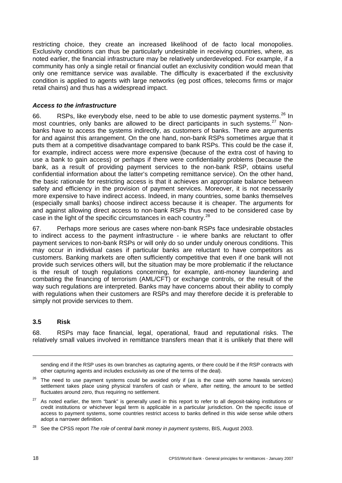<span id="page-23-0"></span>restricting choice, they create an increased likelihood of de facto local monopolies. Exclusivity conditions can thus be particularly undesirable in receiving countries, where, as noted earlier, the financial infrastructure may be relatively underdeveloped. For example, if a community has only a single retail or financial outlet an exclusivity condition would mean that only one remittance service was available. The difficulty is exacerbated if the exclusivity condition is applied to agents with large networks (eg post offices, telecoms firms or major retail chains) and thus has a widespread impact.

#### *Access to the infrastructure*

66. RSPs, like everybody else, need to be able to use domestic payment systems.<sup>[2](#page-23-1)6</sup> In most countries, only banks are allowed to be direct participants in such systems.<sup>[2](#page-23-2)7</sup> Nonbanks have to access the systems indirectly, as customers of banks. There are arguments for and against this arrangement. On the one hand, non-bank RSPs sometimes argue that it puts them at a competitive disadvantage compared to bank RSPs. This could be the case if, for example, indirect access were more expensive (because of the extra cost of having to use a bank to gain access) or perhaps if there were confidentiality problems (because the bank, as a result of providing payment services to the non-bank RSP, obtains useful confidential information about the latter's competing remittance service). On the other hand, the basic rationale for restricting access is that it achieves an appropriate balance between safety and efficiency in the provision of payment services. Moreover, it is not necessarily more expensive to have indirect access. Indeed, in many countries, some banks themselves (especially small banks) choose indirect access because it is cheaper. The arguments for and against allowing direct access to non-bank RSPs thus need to be considered case by case in the light of the specific circumstances in each country.<sup>[28](#page-23-3)</sup>

67. Perhaps more serious are cases where non-bank RSPs face undesirable obstacles to indirect access to the payment infrastructure - ie where banks are reluctant to offer payment services to non-bank RSPs or will only do so under unduly onerous conditions. This may occur in individual cases if particular banks are reluctant to have competitors as customers. Banking markets are often sufficiently competitive that even if one bank will not provide such services others will, but the situation may be more problematic if the reluctance is the result of tough regulations concerning, for example, anti-money laundering and combating the financing of terrorism (AML/CFT) or exchange controls, or the result of the way such regulations are interpreted. Banks may have concerns about their ability to comply with regulations when their customers are RSPs and may therefore decide it is preferable to simply not provide services to them.

## **3.5 Risk**

68. RSPs may face financial, legal, operational, fraud and reputational risks. The relatively small values involved in remittance transfers mean that it is unlikely that there will

sending end if the RSP uses its own branches as capturing agents, or there could be if the RSP contracts with other capturing agents and includes exclusivity as one of the terms of the deal).

- <span id="page-23-1"></span>26 The need to use payment systems could be avoided only if (as is the case with some hawala services) settlement takes place using physical transfers of cash or where, after netting, the amount to be settled fluctuates around zero, thus requiring no settlement.
- <span id="page-23-2"></span> $27$  As noted earlier, the term "bank" is generally used in this report to refer to all deposit-taking institutions or credit institutions or whichever legal term is applicable in a particular jurisdiction. On the specific issue of access to payment systems, some countries restrict access to banks defined in this wide sense while others adopt a narrower definition.

 $\overline{a}$ 

<span id="page-23-3"></span><sup>28</sup> See the CPSS report *The role of central bank money in payment systems*, BIS, August 2003.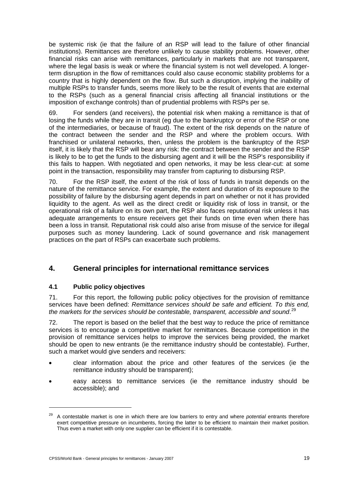<span id="page-24-0"></span>be systemic risk (ie that the failure of an RSP will lead to the failure of other financial institutions). Remittances are therefore unlikely to cause stability problems. However, other financial risks can arise with remittances, particularly in markets that are not transparent, where the legal basis is weak or where the financial system is not well developed. A longerterm disruption in the flow of remittances could also cause economic stability problems for a country that is highly dependent on the flow. But such a disruption, implying the inability of multiple RSPs to transfer funds, seems more likely to be the result of events that are external to the RSPs (such as a general financial crisis affecting all financial institutions or the imposition of exchange controls) than of prudential problems with RSPs per se.

69. For senders (and receivers), the potential risk when making a remittance is that of losing the funds while they are in transit (eg due to the bankruptcy or error of the RSP or one of the intermediaries, or because of fraud). The extent of the risk depends on the nature of the contract between the sender and the RSP and where the problem occurs. With franchised or unilateral networks, then, unless the problem is the bankruptcy of the RSP itself, it is likely that the RSP will bear any risk: the contract between the sender and the RSP is likely to be to get the funds to the disbursing agent and it will be the RSP's responsibility if this fails to happen. With negotiated and open networks, it may be less clear-cut: at some point in the transaction, responsibility may transfer from capturing to disbursing RSP.

70. For the RSP itself, the extent of the risk of loss of funds in transit depends on the nature of the remittance service. For example, the extent and duration of its exposure to the possibility of failure by the disbursing agent depends in part on whether or not it has provided liquidity to the agent. As well as the direct credit or liquidity risk of loss in transit, or the operational risk of a failure on its own part, the RSP also faces reputational risk unless it has adequate arrangements to ensure receivers get their funds on time even when there has been a loss in transit. Reputational risk could also arise from misuse of the service for illegal purposes such as money laundering. Lack of sound governance and risk management practices on the part of RSPs can exacerbate such problems.

# **4. General principles for international remittance services**

# **4.1 Public policy objectives**

1

71. For this report, the following public policy objectives for the provision of remittance services have been defined: *Remittance services should be safe and efficient. To this end,*  the markets for the services should be contestable, transparent, accessible and sound.<sup>[2](#page-24-1)9</sup>

72. The report is based on the belief that the best way to reduce the price of remittance services is to encourage a competitive market for remittances. Because competition in the provision of remittance services helps to improve the services being provided, the market should be open to new entrants (ie the remittance industry should be contestable). Further, such a market would give senders and receivers:

- clear information about the price and other features of the services (ie the remittance industry should be transparent);
- easy access to remittance services (ie the remittance industry should be accessible); and

<span id="page-24-1"></span><sup>29</sup> A contestable market is one in which there are low barriers to entry and where *potential* entrants therefore exert competitive pressure on incumbents, forcing the latter to be efficient to maintain their market position. Thus even a market with only one supplier can be efficient if it is contestable.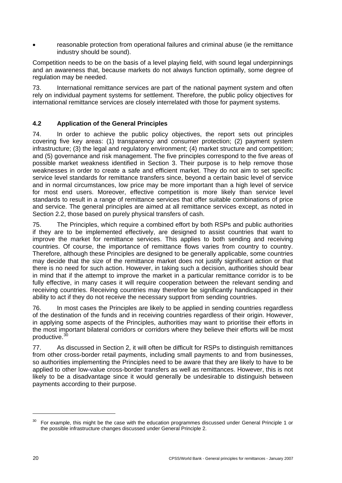<span id="page-25-0"></span>• reasonable protection from operational failures and criminal abuse (ie the remittance industry should be sound).

Competition needs to be on the basis of a level playing field, with sound legal underpinnings and an awareness that, because markets do not always function optimally, some degree of regulation may be needed.

73. International remittance services are part of the national payment system and often rely on individual payment systems for settlement. Therefore, the public policy objectives for international remittance services are closely interrelated with those for payment systems.

# **4.2 Application of the General Principles**

74. In order to achieve the public policy objectives, the report sets out principles covering five key areas: (1) transparency and consumer protection; (2) payment system infrastructure; (3) the legal and regulatory environment; (4) market structure and competition; and (5) governance and risk management. The five principles correspond to the five areas of possible market weakness identified in Section 3. Their purpose is to help remove those weaknesses in order to create a safe and efficient market. They do not aim to set specific service level standards for remittance transfers since, beyond a certain basic level of service and in normal circumstances, low price may be more important than a high level of service for most end users. Moreover, effective competition is more likely than service level standards to result in a range of remittance services that offer suitable combinations of price and service. The general principles are aimed at all remittance services except, as noted in Section 2.2, those based on purely physical transfers of cash.

75. The Principles, which require a combined effort by both RSPs and public authorities if they are to be implemented effectively, are designed to assist countries that want to improve the market for remittance services. This applies to both sending and receiving countries. Of course, the importance of remittance flows varies from country to country. Therefore, although these Principles are designed to be generally applicable, some countries may decide that the size of the remittance market does not justify significant action or that there is no need for such action. However, in taking such a decision, authorities should bear in mind that if the attempt to improve the market in a particular remittance corridor is to be fully effective, in many cases it will require cooperation between the relevant sending and receiving countries. Receiving countries may therefore be significantly handicapped in their ability to act if they do not receive the necessary support from sending countries.

76. In most cases the Principles are likely to be applied in sending countries regardless of the destination of the funds and in receiving countries regardless of their origin. However, in applying some aspects of the Principles, authorities may want to prioritise their efforts in the most important bilateral corridors or corridors where they believe their efforts will be most productive.[30](#page-25-1)

77. As discussed in Section 2, it will often be difficult for RSPs to distinguish remittances from other cross-border retail payments, including small payments to and from businesses, so authorities implementing the Principles need to be aware that they are likely to have to be applied to other low-value cross-border transfers as well as remittances. However, this is not likely to be a disadvantage since it would generally be undesirable to distinguish between payments according to their purpose.

<span id="page-25-1"></span><sup>30</sup> For example, this might be the case with the education programmes discussed under General Principle 1 or the possible infrastructure changes discussed under General Principle 2.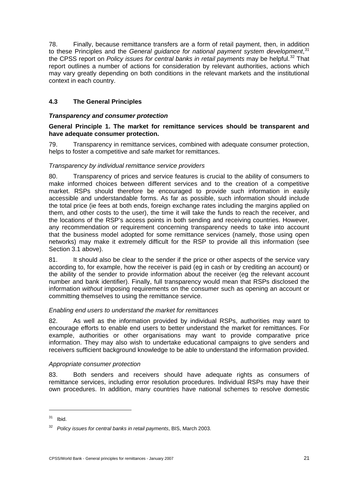<span id="page-26-0"></span>78. Finally, because remittance transfers are a form of retail payment, then, in addition to these Principles and the *General guidance for national payment system development*,<sup>[31](#page-26-1)</sup> the CPSS report on *Policy issues for central banks in retail payments* may be helpful.<sup>[3](#page-26-2)2</sup> That report outlines a number of actions for consideration by relevant authorities, actions which may vary greatly depending on both conditions in the relevant markets and the institutional context in each country.

# **4.3 The General Principles**

## *Transparency and consumer protection*

## **General Principle 1. The market for remittance services should be transparent and have adequate consumer protection.**

79. Transparency in remittance services, combined with adequate consumer protection, helps to foster a competitive and safe market for remittances.

## *Transparency by individual remittance service providers*

80. Transparency of prices and service features is crucial to the ability of consumers to make informed choices between different services and to the creation of a competitive market. RSPs should therefore be encouraged to provide such information in easily accessible and understandable forms. As far as possible, such information should include the total price (ie fees at both ends, foreign exchange rates including the margins applied on them, and other costs to the user), the time it will take the funds to reach the receiver, and the locations of the RSP's access points in both sending and receiving countries. However, any recommendation or requirement concerning transparency needs to take into account that the business model adopted for some remittance services (namely, those using open networks) may make it extremely difficult for the RSP to provide all this information (see Section 3.1 above).

81. It should also be clear to the sender if the price or other aspects of the service vary according to, for example, how the receiver is paid (eg in cash or by crediting an account) or the ability of the sender to provide information about the receiver (eg the relevant account number and bank identifier). Finally, full transparency would mean that RSPs disclosed the information *without* imposing requirements on the consumer such as opening an account or committing themselves to using the remittance service.

## *Enabling end users to understand the market for remittances*

82. As well as the information provided by individual RSPs, authorities may want to encourage efforts to enable end users to better understand the market for remittances. For example, authorities or other organisations may want to provide comparative price information. They may also wish to undertake educational campaigns to give senders and receivers sufficient background knowledge to be able to understand the information provided.

## *Appropriate consumer protection*

83. Both senders and receivers should have adequate rights as consumers of remittance services, including error resolution procedures. Individual RSPs may have their own procedures. In addition, many countries have national schemes to resolve domestic

 $\overline{a}$ 

<span id="page-26-1"></span> $31$  Ibid.

<span id="page-26-2"></span><sup>32</sup> *Policy issues for central banks in retail payments*, BIS, March 2003.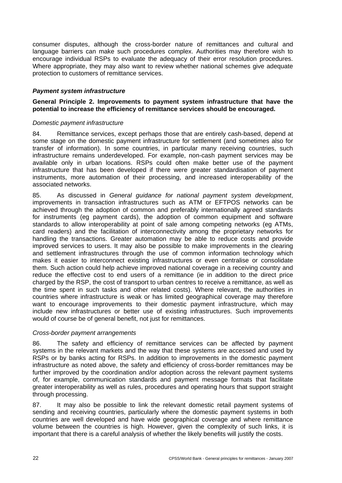<span id="page-27-0"></span>consumer disputes, although the cross-border nature of remittances and cultural and language barriers can make such procedures complex. Authorities may therefore wish to encourage individual RSPs to evaluate the adequacy of their error resolution procedures. Where appropriate, they may also want to review whether national schemes give adequate protection to customers of remittance services.

#### *Payment system infrastructure*

#### **General Principle 2. Improvements to payment system infrastructure that have the potential to increase the efficiency of remittance services should be encouraged.**

#### *Domestic payment infrastructure*

84. Remittance services, except perhaps those that are entirely cash-based, depend at some stage on the domestic payment infrastructure for settlement (and sometimes also for transfer of information). In some countries, in particular many receiving countries, such infrastructure remains underdeveloped. For example, non-cash payment services may be available only in urban locations. RSPs could often make better use of the payment infrastructure that has been developed if there were greater standardisation of payment instruments, more automation of their processing, and increased interoperability of the associated networks.

85. As discussed in *General guidance for national payment system development*, improvements in transaction infrastructures such as ATM or EFTPOS networks can be achieved through the adoption of common and preferably internationally agreed standards for instruments (eg payment cards), the adoption of common equipment and software standards to allow interoperability at point of sale among competing networks (eg ATMs, card readers) and the facilitation of interconnectivity among the proprietary networks for handling the transactions. Greater automation may be able to reduce costs and provide improved services to users. It may also be possible to make improvements in the clearing and settlement infrastructures through the use of common information technology which makes it easier to interconnect existing infrastructures or even centralise or consolidate them. Such action could help achieve improved national coverage in a receiving country and reduce the effective cost to end users of a remittance (ie in addition to the direct price charged by the RSP, the cost of transport to urban centres to receive a remittance, as well as the time spent in such tasks and other related costs). Where relevant, the authorities in countries where infrastructure is weak or has limited geographical coverage may therefore want to encourage improvements to their domestic payment infrastructure, which may include new infrastructures or better use of existing infrastructures. Such improvements would of course be of general benefit, not just for remittances.

#### *Cross-border payment arrangements*

86. The safety and efficiency of remittance services can be affected by payment systems in the relevant markets and the way that these systems are accessed and used by RSPs or by banks acting for RSPs. In addition to improvements in the domestic payment infrastructure as noted above, the safety and efficiency of cross-border remittances may be further improved by the coordination and/or adoption across the relevant payment systems of, for example, communication standards and payment message formats that facilitate greater interoperability as well as rules, procedures and operating hours that support straight through processing.

87. It may also be possible to link the relevant domestic retail payment systems of sending and receiving countries, particularly where the domestic payment systems in both countries are well developed and have wide geographical coverage and where remittance volume between the countries is high. However, given the complexity of such links, it is important that there is a careful analysis of whether the likely benefits will justify the costs.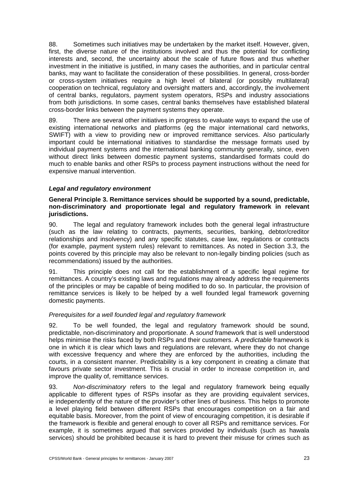<span id="page-28-0"></span>88. Sometimes such initiatives may be undertaken by the market itself. However, given, first, the diverse nature of the institutions involved and thus the potential for conflicting interests and, second, the uncertainty about the scale of future flows and thus whether investment in the initiative is justified, in many cases the authorities, and in particular central banks, may want to facilitate the consideration of these possibilities. In general, cross-border or cross-system initiatives require a high level of bilateral (or possibly multilateral) cooperation on technical, regulatory and oversight matters and, accordingly, the involvement of central banks, regulators, payment system operators, RSPs and industry associations from both jurisdictions. In some cases, central banks themselves have established bilateral cross-border links between the payment systems they operate.

89. There are several other initiatives in progress to evaluate ways to expand the use of existing international networks and platforms (eg the major international card networks, SWIFT) with a view to providing new or improved remittance services. Also particularly important could be international initiatives to standardise the message formats used by individual payment systems and the international banking community generally, since, even without direct links between domestic payment systems, standardised formats could do much to enable banks and other RSPs to process payment instructions without the need for expensive manual intervention.

## *Legal and regulatory environment*

#### **General Principle 3. Remittance services should be supported by a sound, predictable, non-discriminatory and proportionate legal and regulatory framework in relevant jurisdictions.**

90. The legal and regulatory framework includes both the general legal infrastructure (such as the law relating to contracts, payments, securities, banking, debtor/creditor relationships and insolvency) and any specific statutes, case law, regulations or contracts (for example, payment system rules) relevant to remittances. As noted in Section 3.3, the points covered by this principle may also be relevant to non-legally binding policies (such as recommendations) issued by the authorities.

91. This principle does not call for the establishment of a specific legal regime for remittances. A country's existing laws and regulations may already address the requirements of the principles or may be capable of being modified to do so. In particular, the provision of remittance services is likely to be helped by a well founded legal framework governing domestic payments.

## *Prerequisites for a well founded legal and regulatory framework*

92. To be well founded, the legal and regulatory framework should be sound, predictable, non-discriminatory and proportionate. A *sound* framework that is well understood helps minimise the risks faced by both RSPs and their customers. A *predictable* framework is one in which it is clear which laws and regulations are relevant, where they do not change with excessive frequency and where they are enforced by the authorities, including the courts, in a consistent manner. Predictability is a key component in creating a climate that favours private sector investment. This is crucial in order to increase competition in, and improve the quality of, remittance services.

93. *Non-discriminatory* refers to the legal and regulatory framework being equally applicable to different types of RSPs insofar as they are providing equivalent services, ie independently of the nature of the provider's other lines of business. This helps to promote a level playing field between different RSPs that encourages competition on a fair and equitable basis. Moreover, from the point of view of encouraging competition, it is desirable if the framework is flexible and general enough to cover all RSPs and remittance services. For example, it is sometimes argued that services provided by individuals (such as hawala services) should be prohibited because it is hard to prevent their misuse for crimes such as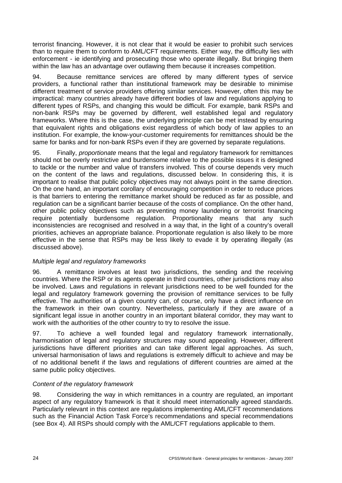terrorist financing. However, it is not clear that it would be easier to prohibit such services than to require them to conform to AML/CFT requirements. Either way, the difficulty lies with enforcement - ie identifying and prosecuting those who operate illegally. But bringing them within the law has an advantage over outlawing them because it increases competition.

94. Because remittance services are offered by many different types of service providers, a functional rather than institutional framework may be desirable to minimise different treatment of service providers offering similar services. However, often this may be impractical: many countries already have different bodies of law and regulations applying to different types of RSPs, and changing this would be difficult. For example, bank RSPs and non-bank RSPs may be governed by different, well established legal and regulatory frameworks. Where this is the case, the underlying principle can be met instead by ensuring that equivalent rights and obligations exist regardless of which body of law applies to an institution. For example, the know-your-customer requirements for remittances should be the same for banks and for non-bank RSPs even if they are governed by separate regulations.

95. Finally, *proportionate* means that the legal and regulatory framework for remittances should not be overly restrictive and burdensome relative to the possible issues it is designed to tackle or the number and value of transfers involved. This of course depends very much on the content of the laws and regulations, discussed below. In considering this, it is important to realise that public policy objectives may not always point in the same direction. On the one hand, an important corollary of encouraging competition in order to reduce prices is that barriers to entering the remittance market should be reduced as far as possible, and regulation can be a significant barrier because of the costs of compliance. On the other hand, other public policy objectives such as preventing money laundering or terrorist financing require potentially burdensome regulation. Proportionality means that any such inconsistencies are recognised and resolved in a way that, in the light of a country's overall priorities, achieves an appropriate balance. Proportionate regulation is also likely to be more effective in the sense that RSPs may be less likely to evade it by operating illegally (as discussed above).

## *Multiple legal and regulatory frameworks*

96. A remittance involves at least two jurisdictions, the sending and the receiving countries. Where the RSP or its agents operate in third countries, other jurisdictions may also be involved. Laws and regulations in relevant jurisdictions need to be well founded for the legal and regulatory framework governing the provision of remittance services to be fully effective. The authorities of a given country can, of course, only have a direct influence on the framework in their own country. Nevertheless, particularly if they are aware of a significant legal issue in another country in an important bilateral corridor, they may want to work with the authorities of the other country to try to resolve the issue.

97. To achieve a well founded legal and regulatory framework internationally, harmonisation of legal and regulatory structures may sound appealing. However, different jurisdictions have different priorities and can take different legal approaches. As such, universal harmonisation of laws and regulations is extremely difficult to achieve and may be of no additional benefit if the laws and regulations of different countries are aimed at the same public policy objectives.

# *Content of the regulatory framework*

98. Considering the way in which remittances in a country are regulated, an important aspect of any regulatory framework is that it should meet internationally agreed standards. Particularly relevant in this context are regulations implementing AML/CFT recommendations such as the Financial Action Task Force's recommendations and special recommendations (see Box 4). All RSPs should comply with the AML/CFT regulations applicable to them.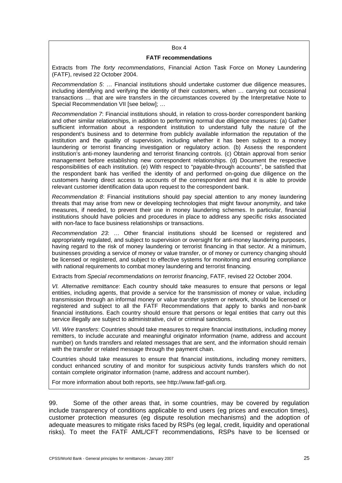#### Box 4

#### **FATF recommendations**

Extracts from *The forty recommendations*, Financial Action Task Force on Money Laundering (FATF), revised 22 October 2004.

*Recommendation 5*: … Financial institutions should undertake customer due diligence measures, including identifying and verifying the identity of their customers, when … carrying out occasional transactions … that are wire transfers in the circumstances covered by the Interpretative Note to Special Recommendation VII [see below]; ...

*Recommendation 7*: Financial institutions should, in relation to cross-border correspondent banking and other similar relationships, in addition to performing normal due diligence measures: (a) Gather sufficient information about a respondent institution to understand fully the nature of the respondent's business and to determine from publicly available information the reputation of the institution and the quality of supervision, including whether it has been subject to a money laundering or terrorist financing investigation or regulatory action. (b) Assess the respondent institution's anti-money laundering and terrorist financing controls. (c) Obtain approval from senior management before establishing new correspondent relationships. (d) Document the respective responsibilities of each institution. (e) With respect to "payable-through accounts", be satisfied that the respondent bank has verified the identity of and performed on-going due diligence on the customers having direct access to accounts of the correspondent and that it is able to provide relevant customer identification data upon request to the correspondent bank.

*Recommendation 8*: Financial institutions should pay special attention to any money laundering threats that may arise from new or developing technologies that might favour anonymity, and take measures, if needed, to prevent their use in money laundering schemes. In particular, financial institutions should have policies and procedures in place to address any specific risks associated with non-face to face business relationships or transactions.

*Recommendation 23*: … Other financial institutions should be licensed or registered and appropriately regulated, and subject to supervision or oversight for anti-money laundering purposes, having regard to the risk of money laundering or terrorist financing in that sector. At a minimum, businesses providing a service of money or value transfer, or of money or currency changing should be licensed or registered, and subject to effective systems for monitoring and ensuring compliance with national requirements to combat money laundering and terrorist financing.

Extracts from *Special recommendations on terrorist financing*, FATF, revised 22 October 2004.

*VI. Alternative remittance*: Each country should take measures to ensure that persons or legal entities, including agents, that provide a service for the transmission of money or value, including transmission through an informal money or value transfer system or network, should be licensed or registered and subject to all the FATF Recommendations that apply to banks and non-bank financial institutions. Each country should ensure that persons or legal entities that carry out this service illegally are subject to administrative, civil or criminal sanctions.

*VII. Wire transfers*: Countries should take measures to require financial institutions, including money remitters, to include accurate and meaningful originator information (name, address and account number) on funds transfers and related messages that are sent, and the information should remain with the transfer or related message through the payment chain.

Countries should take measures to ensure that financial institutions, including money remitters, conduct enhanced scrutiny of and monitor for suspicious activity funds transfers which do not contain complete originator information (name, address and account number).

For more information about both reports, see [http://www.fatf-gafi.org.](http://www.fatf-gafi.org/)

99. Some of the other areas that, in some countries, may be covered by regulation include transparency of conditions applicable to end users (eg prices and execution times), customer protection measures (eg dispute resolution mechanisms) and the adoption of adequate measures to mitigate risks faced by RSPs (eg legal, credit, liquidity and operational risks). To meet the FATF AML/CFT recommendations, RSPs have to be licensed or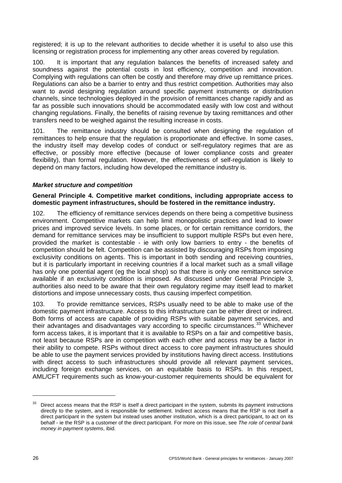<span id="page-31-0"></span>registered; it is up to the relevant authorities to decide whether it is useful to also use this licensing or registration process for implementing any other areas covered by regulation.

100. It is important that any regulation balances the benefits of increased safety and soundness against the potential costs in lost efficiency, competition and innovation. Complying with regulations can often be costly and therefore may drive up remittance prices. Regulations can also be a barrier to entry and thus restrict competition. Authorities may also want to avoid designing regulation around specific payment instruments or distribution channels, since technologies deployed in the provision of remittances change rapidly and as far as possible such innovations should be accommodated easily with low cost and without changing regulations. Finally, the benefits of raising revenue by taxing remittances and other transfers need to be weighed against the resulting increase in costs.

101. The remittance industry should be consulted when designing the regulation of remittances to help ensure that the regulation is proportionate and effective. In some cases, the industry itself may develop codes of conduct or self-regulatory regimes that are as effective, or possibly more effective (because of lower compliance costs and greater flexibility), than formal regulation. However, the effectiveness of self-regulation is likely to depend on many factors, including how developed the remittance industry is.

## *Market structure and competition*

#### **General Principle 4. Competitive market conditions, including appropriate access to domestic payment infrastructures, should be fostered in the remittance industry.**

102. The efficiency of remittance services depends on there being a competitive business environment. Competitive markets can help limit monopolistic practices and lead to lower prices and improved service levels. In some places, or for certain remittance corridors, the demand for remittance services may be insufficient to support multiple RSPs but even here, provided the market is contestable - ie with only low barriers to entry - the benefits of competition should be felt. Competition can be assisted by discouraging RSPs from imposing exclusivity conditions on agents. This is important in both sending and receiving countries, but it is particularly important in receiving countries if a local market such as a small village has only one potential agent (eg the local shop) so that there is only one remittance service available if an exclusivity condition is imposed. As discussed under General Principle 3, authorities also need to be aware that their own regulatory regime may itself lead to market distortions and impose unnecessary costs, thus causing imperfect competition.

103. To provide remittance services, RSPs usually need to be able to make use of the domestic payment infrastructure. Access to this infrastructure can be either direct or indirect. Both forms of access are capable of providing RSPs with suitable payment services, and their advantages and disadvantages vary according to specific circumstances.<sup>[3](#page-31-1)3</sup> Whichever form access takes, it is important that it is available to RSPs on a fair and competitive basis, not least because RSPs are in competition with each other and access may be a factor in their ability to compete. RSPs without direct access to core payment infrastructures should be able to use the payment services provided by institutions having direct access. Institutions with direct access to such infrastructures should provide all relevant payment services, including foreign exchange services, on an equitable basis to RSPs. In this respect, AML/CFT requirements such as know-your-customer requirements should be equivalent for

 $\overline{a}$ 

<span id="page-31-1"></span><sup>&</sup>lt;sup>33</sup> Direct access means that the RSP is itself a direct participant in the system, submits its payment instructions directly to the system, and is responsible for settlement. Indirect access means that the RSP is not itself a direct participant in the system but instead uses another institution, which is a direct participant, to act on its behalf - ie the RSP is a customer of the direct participant. For more on this issue, see *The role of central bank money in payment systems*, ibid.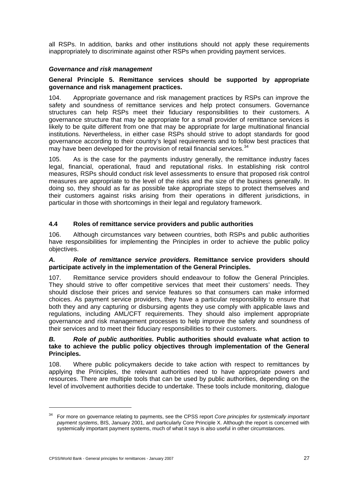<span id="page-32-0"></span>all RSPs. In addition, banks and other institutions should not apply these requirements inappropriately to discriminate against other RSPs when providing payment services.

## *Governance and risk management*

## **General Principle 5. Remittance services should be supported by appropriate governance and risk management practices.**

104. Appropriate governance and risk management practices by RSPs can improve the safety and soundness of remittance services and help protect consumers. Governance structures can help RSPs meet their fiduciary responsibilities to their customers. A governance structure that may be appropriate for a small provider of remittance services is likely to be quite different from one that may be appropriate for large multinational financial institutions. Nevertheless, in either case RSPs should strive to adopt standards for good governance according to their country's legal requirements and to follow best practices that may have been developed for the provision of retail financial services.<sup>[34](#page-32-1)</sup>

105. As is the case for the payments industry generally, the remittance industry faces legal, financial, operational, fraud and reputational risks. In establishing risk control measures, RSPs should conduct risk level assessments to ensure that proposed risk control measures are appropriate to the level of the risks and the size of the business generally. In doing so, they should as far as possible take appropriate steps to protect themselves and their customers against risks arising from their operations in different jurisdictions, in particular in those with shortcomings in their legal and regulatory framework.

# **4.4 Roles of remittance service providers and public authorities**

106. Although circumstances vary between countries, both RSPs and public authorities have responsibilities for implementing the Principles in order to achieve the public policy objectives.

#### *A. Role of remittance service providers.* **Remittance service providers should participate actively in the implementation of the General Principles.**

107. Remittance service providers should endeavour to follow the General Principles. They should strive to offer competitive services that meet their customers' needs. They should disclose their prices and service features so that consumers can make informed choices. As payment service providers, they have a particular responsibility to ensure that both they and any capturing or disbursing agents they use comply with applicable laws and regulations, including AML/CFT requirements. They should also implement appropriate governance and risk management processes to help improve the safety and soundness of their services and to meet their fiduciary responsibilities to their customers.

## *B. Role of public authorities.* **Public authorities should evaluate what action to take to achieve the public policy objectives through implementation of the General Principles.**

108. Where public policymakers decide to take action with respect to remittances by applying the Principles, the relevant authorities need to have appropriate powers and resources. There are multiple tools that can be used by public authorities, depending on the level of involvement authorities decide to undertake. These tools include monitoring, dialogue

<span id="page-32-1"></span><sup>34</sup> For more on governance relating to payments, see the CPSS report *Core principles for systemically important payment systems*, BIS, January 2001, and particularly Core Principle X. Although the report is concerned with systemically important payment systems, much of what it says is also useful in other circumstances.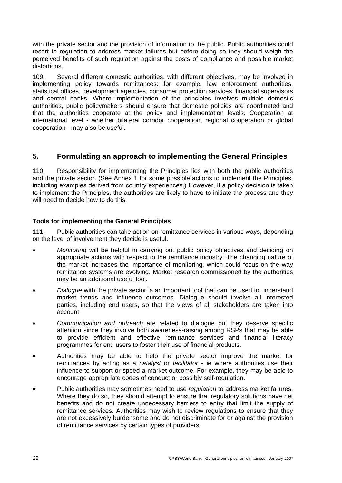<span id="page-33-0"></span>with the private sector and the provision of information to the public. Public authorities could resort to regulation to address market failures but before doing so they should weigh the perceived benefits of such regulation against the costs of compliance and possible market distortions.

109. Several different domestic authorities, with different objectives, may be involved in implementing policy towards remittances: for example, law enforcement authorities, statistical offices, development agencies, consumer protection services, financial supervisors and central banks. Where implementation of the principles involves multiple domestic authorities, public policymakers should ensure that domestic policies are coordinated and that the authorities cooperate at the policy and implementation levels. Cooperation at international level - whether bilateral corridor cooperation, regional cooperation or global cooperation - may also be useful.

# **5. Formulating an approach to implementing the General Principles**

110. Responsibility for implementing the Principles lies with both the public authorities and the private sector. (See Annex 1 for some possible actions to implement the Principles, including examples derived from country experiences.) However, if a policy decision is taken to implement the Principles, the authorities are likely to have to initiate the process and they will need to decide how to do this.

## **Tools for implementing the General Principles**

111. Public authorities can take action on remittance services in various ways, depending on the level of involvement they decide is useful.

- *Monitoring* will be helpful in carrying out public policy objectives and deciding on appropriate actions with respect to the remittance industry. The changing nature of the market increases the importance of monitoring, which could focus on the way remittance systems are evolving. Market research commissioned by the authorities may be an additional useful tool.
- *Dialogue* with the private sector is an important tool that can be used to understand market trends and influence outcomes. Dialogue should involve all interested parties, including end users, so that the views of all stakeholders are taken into account.
- *Communication and outreach* are related to dialogue but they deserve specific attention since they involve both awareness-raising among RSPs that may be able to provide efficient and effective remittance services and financial literacy programmes for end users to foster their use of financial products.
- Authorities may be able to help the private sector improve the market for remittances by acting as a *catalyst* or *facilitator* - ie where authorities use their influence to support or speed a market outcome. For example, they may be able to encourage appropriate codes of conduct or possibly self-regulation.
- Public authorities may sometimes need to use *regulation* to address market failures. Where they do so, they should attempt to ensure that regulatory solutions have net benefits and do not create unnecessary barriers to entry that limit the supply of remittance services. Authorities may wish to review regulations to ensure that they are not excessively burdensome and do not discriminate for or against the provision of remittance services by certain types of providers.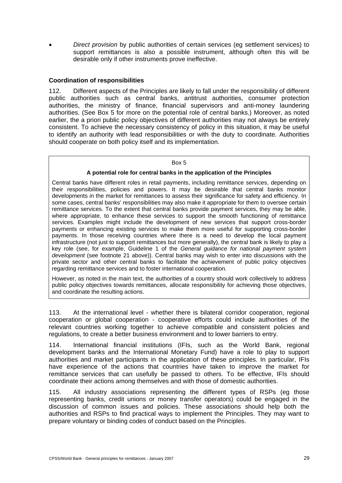• *Direct provision* by public authorities of certain services (eg settlement services) to support remittances is also a possible instrument, although often this will be desirable only if other instruments prove ineffective.

#### **Coordination of responsibilities**

112. Different aspects of the Principles are likely to fall under the responsibility of different public authorities such as central banks, antitrust authorities, consumer protection authorities, the ministry of finance, financial supervisors and anti-money laundering authorities. (See Box 5 for more on the potential role of central banks.) Moreover, as noted earlier, the a priori public policy objectives of different authorities may not always be entirely consistent. To achieve the necessary consistency of policy in this situation, it may be useful to identify an authority with lead responsibilities or with the duty to coordinate. Authorities should cooperate on both policy itself and its implementation.

#### Box 5

#### **A potential role for central banks in the application of the Principles**

Central banks have different roles in retail payments, including remittance services, depending on their responsibilities, policies and powers. It may be desirable that central banks monitor developments in the market for remittances to assess their significance for safety and efficiency. In some cases, central banks' responsibilities may also make it appropriate for them to oversee certain remittance services. To the extent that central banks provide payment services, they may be able, where appropriate, to enhance these services to support the smooth functioning of remittance services. Examples might include the development of new services that support cross-border payments or enhancing existing services to make them more useful for supporting cross-border payments. In those receiving countries where there is a need to develop the local payment infrastructure (not just to support remittances but more generally), the central bank is likely to play a key role (see, for example, Guideline 1 of the *General guidance for national payment system development* (see footnote 21 above)). Central banks may wish to enter into discussions with the private sector and other central banks to facilitate the achievement of public policy objectives regarding remittance services and to foster international cooperation.

However, as noted in the main text, the authorities of a country should work collectively to address public policy objectives towards remittances, allocate responsibility for achieving those objectives, and coordinate the resulting actions.

113. At the international level - whether there is bilateral corridor cooperation, regional cooperation or global cooperation - cooperative efforts could include authorities of the relevant countries working together to achieve compatible and consistent policies and regulations, to create a better business environment and to lower barriers to entry.

114. International financial institutions (IFIs, such as the World Bank, regional development banks and the International Monetary Fund) have a role to play to support authorities and market participants in the application of these principles. In particular, IFIs have experience of the actions that countries have taken to improve the market for remittance services that can usefully be passed to others. To be effective, IFIs should coordinate their actions among themselves and with those of domestic authorities.

115. All industry associations representing the different types of RSPs (eg those representing banks, credit unions or money transfer operators) could be engaged in the discussion of common issues and policies. These associations should help both the authorities and RSPs to find practical ways to implement the Principles. They may want to prepare voluntary or binding codes of conduct based on the Principles.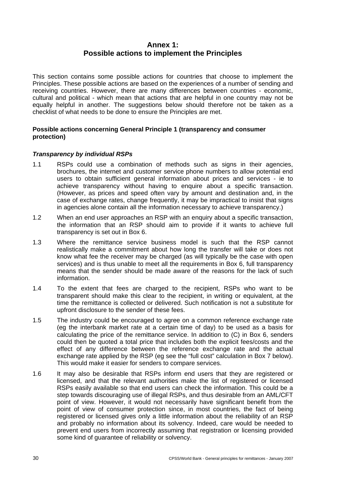# **Annex 1: Possible actions to implement the Principles**

<span id="page-35-0"></span>This section contains some possible actions for countries that choose to implement the Principles. These possible actions are based on the experiences of a number of sending and receiving countries. However, there are many differences between countries - economic, cultural and political - which mean that actions that are helpful in one country may not be equally helpful in another. The suggestions below should therefore not be taken as a checklist of what needs to be done to ensure the Principles are met.

## **Possible actions concerning General Principle 1 (transparency and consumer protection)**

## *Transparency by individual RSPs*

- 1.1 RSPs could use a combination of methods such as signs in their agencies, brochures, the internet and customer service phone numbers to allow potential end users to obtain sufficient general information about prices and services - ie to achieve transparency without having to enquire about a specific transaction. (However, as prices and speed often vary by amount and destination and, in the case of exchange rates, change frequently, it may be impractical to insist that signs in agencies alone contain all the information necessary to achieve transparency.)
- 1.2 When an end user approaches an RSP with an enquiry about a specific transaction, the information that an RSP should aim to provide if it wants to achieve full transparency is set out in Box 6.
- 1.3 Where the remittance service business model is such that the RSP cannot realistically make a commitment about how long the transfer will take or does not know what fee the receiver may be charged (as will typically be the case with open services) and is thus unable to meet all the requirements in Box 6, full transparency means that the sender should be made aware of the reasons for the lack of such information.
- 1.4 To the extent that fees are charged to the recipient, RSPs who want to be transparent should make this clear to the recipient, in writing or equivalent, at the time the remittance is collected or delivered. Such notification is not a substitute for upfront disclosure to the sender of these fees.
- 1.5 The industry could be encouraged to agree on a common reference exchange rate (eg the interbank market rate at a certain time of day) to be used as a basis for calculating the price of the remittance service. In addition to (C) in Box 6, senders could then be quoted a total price that includes both the explicit fees/costs and the effect of any difference between the reference exchange rate and the actual exchange rate applied by the RSP (eg see the "full cost" calculation in Box 7 below). This would make it easier for senders to compare services.
- 1.6 It may also be desirable that RSPs inform end users that they are registered or licensed, and that the relevant authorities make the list of registered or licensed RSPs easily available so that end users can check the information. This could be a step towards discouraging use of illegal RSPs, and thus desirable from an AML/CFT point of view. However, it would not necessarily have significant benefit from the point of view of consumer protection since, in most countries, the fact of being registered or licensed gives only a little information about the reliability of an RSP and probably no information about its solvency. Indeed, care would be needed to prevent end users from incorrectly assuming that registration or licensing provided some kind of quarantee of reliability or solvency.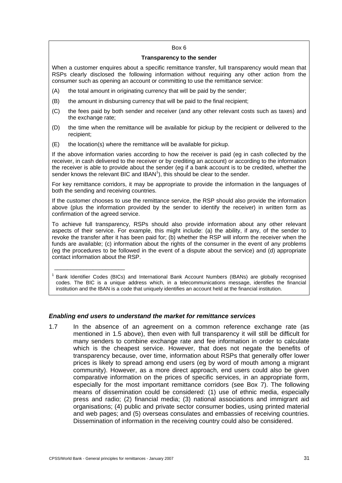#### Box 6

#### **Transparency to the sender**

When a customer enquires about a specific remittance transfer, full transparency would mean that RSPs clearly disclosed the following information without requiring any other action from the consumer such as opening an account or committing to use the remittance service:

- (A) the total amount in originating currency that will be paid by the sender;
- (B) the amount in disbursing currency that will be paid to the final recipient;
- (C) the fees paid by both sender and receiver (and any other relevant costs such as taxes) and the exchange rate;
- (D) the time when the remittance will be available for pickup by the recipient or delivered to the recipient;
- (E) the location(s) where the remittance will be available for pickup.

If the above information varies according to how the receiver is paid (eg in cash collected by the receiver, in cash delivered to the receiver or by crediting an account) or according to the information the receiver is able to provide about the sender (eg if a bank account is to be credited, whether the sender knows the relevant BIC and IBAN<sup>1</sup>), this should be clear to the sender.

For key remittance corridors, it may be appropriate to provide the information in the languages of both the sending and receiving countries.

If the customer chooses to use the remittance service, the RSP should also provide the information above (plus the information provided by the sender to identify the receiver) in written form as confirmation of the agreed service.

To achieve full transparency, RSPs should also provide information about any other relevant aspects of their service. For example, this might include: (a) the ability, if any, of the sender to revoke the transfer after it has been paid for; (b) whether the RSP will inform the receiver when the funds are available; (c) information about the rights of the consumer in the event of any problems (eg the procedures to be followed in the event of a dispute about the service) and (d) appropriate contact information about the RSP.

<sup>1</sup> Bank Identifier Codes (BICs) and International Bank Account Numbers (IBANs) are globally recognised codes. The BIC is a unique address which, in a telecommunications message, identifies the financial institution and the IBAN is a code that uniquely identifies an account held at the financial institution.

#### *Enabling end users to understand the market for remittance services*

1.7 In the absence of an agreement on a common reference exchange rate (as mentioned in 1.5 above), then even with full transparency it will still be difficult for many senders to combine exchange rate and fee information in order to calculate which is the cheapest service. However, that does not negate the benefits of transparency because, over time, information about RSPs that generally offer lower prices is likely to spread among end users (eg by word of mouth among a migrant community). However, as a more direct approach, end users could also be given comparative information on the prices of specific services, in an appropriate form, especially for the most important remittance corridors (see Box 7). The following means of dissemination could be considered: (1) use of ethnic media, especially press and radio; (2) financial media; (3) national associations and immigrant aid organisations; (4) public and private sector consumer bodies, using printed material and web pages; and (5) overseas consulates and embassies of receiving countries. Dissemination of information in the receiving country could also be considered.

\_\_\_\_\_\_\_\_\_\_\_\_\_\_\_\_\_\_\_\_\_\_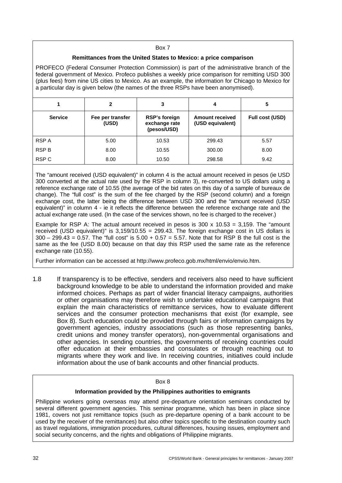#### Box 7

#### **Remittances from the United States to Mexico: a price comparison**

PROFECO (Federal Consumer Protection Commission) is part of the administrative branch of the federal government of Mexico. Profeco publishes a weekly price comparison for remitting USD 300 (plus fees) from nine US cities to Mexico. As an example, the information for Chicago to Mexico for a particular day is given below (the names of the three RSPs have been anonymised).

|                | 2                         | 3                                                    | 4                                          | 5               |  |
|----------------|---------------------------|------------------------------------------------------|--------------------------------------------|-----------------|--|
| <b>Service</b> | Fee per transfer<br>(USD) | <b>RSP's foreign</b><br>exchange rate<br>(pesos/USD) | <b>Amount received</b><br>(USD equivalent) | Full cost (USD) |  |
| RSP A          | 5.00                      | 10.53                                                | 299.43                                     | 5.57            |  |
| <b>RSP B</b>   | 8.00                      | 10.55                                                | 300.00                                     | 8.00            |  |
| RSP C          | 8.00                      | 10.50                                                | 298.58                                     | 9.42            |  |

The "amount received (USD equivalent)" in column 4 is the actual amount received in pesos (ie USD 300 converted at the actual rate used by the RSP in column 3), re-converted to US dollars using a reference exchange rate of 10.55 (the average of the bid rates on this day of a sample of bureaux de change). The "full cost" is the sum of the fee charged by the RSP (second column) and a foreign exchange cost, the latter being the difference between USD 300 and the "amount received (USD equivalent)" in column 4 - ie it reflects the difference between the reference exchange rate and the actual exchange rate used. (In the case of the services shown, no fee is charged to the receiver.)

Example for RSP A: The actual amount received in pesos is  $300 \times 10.53 = 3.159$ . The "amount received (USD equivalent)" is 3,159/10.55 = 299.43. The foreign exchange cost in US dollars is 300 – 299.43 = 0.57. The "full cost" is 5.00 + 0.57 = 5.57. Note that for RSP B the full cost is the same as the fee (USD 8.00) because on that day this RSP used the same rate as the reference exchange rate (10.55).

Further information can be accessed at<http://www.profeco.gob.mx/html/envio/envio.htm>.

1.8 If transparency is to be effective, senders and receivers also need to have sufficient background knowledge to be able to understand the information provided and make informed choices. Perhaps as part of wider financial literacy campaigns, authorities or other organisations may therefore wish to undertake educational campaigns that explain the main characteristics of remittance services, how to evaluate different services and the consumer protection mechanisms that exist (for example, see Box 8). Such education could be provided through fairs or information campaigns by government agencies, industry associations (such as those representing banks, credit unions and money transfer operators), non-governmental organisations and other agencies. In sending countries, the governments of receiving countries could offer education at their embassies and consulates or through reaching out to migrants where they work and live. In receiving countries, initiatives could include information about the use of bank accounts and other financial products.

#### Box 8

#### **Information provided by the Philippines authorities to emigrants**

Philippine workers going overseas may attend pre-departure orientation seminars conducted by several different government agencies. This seminar programme, which has been in place since 1981, covers not just remittance topics (such as pre-departure opening of a bank account to be used by the receiver of the remittances) but also other topics specific to the destination country such as travel regulations, immigration procedures, cultural differences, housing issues, employment and social security concerns, and the rights and obligations of Philippine migrants.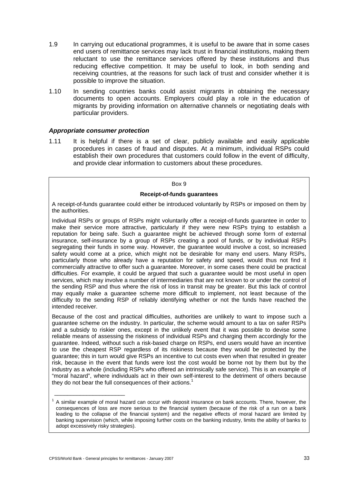- 1.9 In carrying out educational programmes, it is useful to be aware that in some cases end users of remittance services may lack trust in financial institutions, making them reluctant to use the remittance services offered by these institutions and thus reducing effective competition. It may be useful to look, in both sending and receiving countries, at the reasons for such lack of trust and consider whether it is possible to improve the situation.
- 1.10 In sending countries banks could assist migrants in obtaining the necessary documents to open accounts. Employers could play a role in the education of migrants by providing information on alternative channels or negotiating deals with particular providers.

#### *Appropriate consumer protection*

1.11 It is helpful if there is a set of clear, publicly available and easily applicable procedures in cases of fraud and disputes. At a minimum, individual RSPs could establish their own procedures that customers could follow in the event of difficulty, and provide clear information to customers about these procedures.

#### Box 9

#### **Receipt-of-funds guarantees**

A receipt-of-funds guarantee could either be introduced voluntarily by RSPs or imposed on them by the authorities.

Individual RSPs or groups of RSPs might voluntarily offer a receipt-of-funds guarantee in order to make their service more attractive, particularly if they were new RSPs trying to establish a reputation for being safe. Such a guarantee might be achieved through some form of external insurance, self-insurance by a group of RSPs creating a pool of funds, or by individual RSPs segregating their funds in some way. However, the guarantee would involve a cost, so increased safety would come at a price, which might not be desirable for many end users. Many RSPs, particularly those who already have a reputation for safety and speed, would thus not find it commercially attractive to offer such a guarantee. Moreover, in some cases there could be practical difficulties. For example, it could be argued that such a guarantee would be most useful in open services, which may involve a number of intermediaries that are not known to or under the control of the sending RSP and thus where the risk of loss in transit may be greater. But this lack of control may equally make a guarantee scheme more difficult to implement, not least because of the difficulty to the sending RSP of reliably identifying whether or not the funds have reached the intended receiver.

Because of the cost and practical difficulties, authorities are unlikely to want to impose such a guarantee scheme on the industry. In particular, the scheme would amount to a tax on safer RSPs and a subsidy to riskier ones, except in the unlikely event that it was possible to devise some reliable means of assessing the riskiness of individual RSPs and charging them accordingly for the guarantee. Indeed, without such a risk-based charge on RSPs, end users would have an incentive to use the cheapest RSP regardless of its riskiness because they would be protected by the guarantee; this in turn would give RSPs an incentive to cut costs even when that resulted in greater risk, because in the event that funds were lost the cost would be borne not by them but by the industry as a whole (including RSPs who offered an intrinsically safe service). This is an example of "moral hazard", where individuals act in their own self-interest to the detriment of others because they do not bear the full consequences of their actions.<sup>1</sup>

\_\_\_\_\_\_\_\_\_\_\_\_\_\_\_\_\_\_\_\_\_\_

 $1$  A similar example of moral hazard can occur with deposit insurance on bank accounts. There, however, the consequences of loss are more serious to the financial system (because of the risk of a run on a bank leading to the collapse of the financial system) and the negative effects of moral hazard are limited by banking supervision (which, while imposing further costs on the banking industry, limits the ability of banks to adopt excessively risky strategies).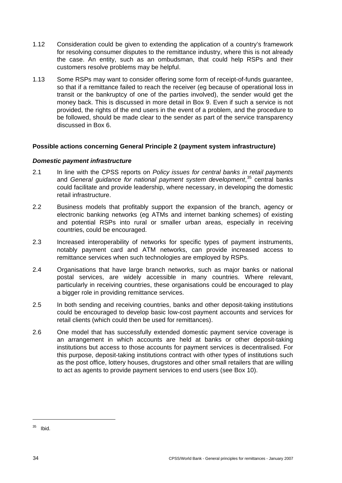- <span id="page-39-0"></span>1.12 Consideration could be given to extending the application of a country's framework for resolving consumer disputes to the remittance industry, where this is not already the case. An entity, such as an ombudsman, that could help RSPs and their customers resolve problems may be helpful.
- 1.13 Some RSPs may want to consider offering some form of receipt-of-funds guarantee, so that if a remittance failed to reach the receiver (eg because of operational loss in transit or the bankruptcy of one of the parties involved), the sender would get the money back. This is discussed in more detail in Box 9. Even if such a service is not provided, the rights of the end users in the event of a problem, and the procedure to be followed, should be made clear to the sender as part of the service transparency discussed in Box 6.

## **Possible actions concerning General Principle 2 (payment system infrastructure)**

#### *Domestic payment infrastructure*

- 2.1 In line with the CPSS reports on *Policy issues for central banks in retail payments* and *General guidance for national payment system development*, [3](#page-39-1)5 central banks could facilitate and provide leadership, where necessary, in developing the domestic retail infrastructure.
- 2.2 Business models that profitably support the expansion of the branch, agency or electronic banking networks (eg ATMs and internet banking schemes) of existing and potential RSPs into rural or smaller urban areas, especially in receiving countries, could be encouraged.
- 2.3 Increased interoperability of networks for specific types of payment instruments, notably payment card and ATM networks, can provide increased access to remittance services when such technologies are employed by RSPs.
- 2.4 Organisations that have large branch networks, such as major banks or national postal services, are widely accessible in many countries. Where relevant, particularly in receiving countries, these organisations could be encouraged to play a bigger role in providing remittance services.
- 2.5 In both sending and receiving countries, banks and other deposit-taking institutions could be encouraged to develop basic low-cost payment accounts and services for retail clients (which could then be used for remittances).
- 2.6 One model that has successfully extended domestic payment service coverage is an arrangement in which accounts are held at banks or other deposit-taking institutions but access to those accounts for payment services is decentralised. For this purpose, deposit-taking institutions contract with other types of institutions such as the post office, lottery houses, drugstores and other small retailers that are willing to act as agents to provide payment services to end users (see Box 10).

<span id="page-39-1"></span> $35$  Ibid.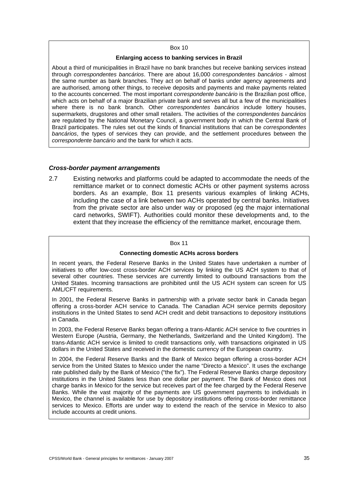#### Box 10

#### **Enlarging access to banking services in Brazil**

About a third of municipalities in Brazil have no bank branches but receive banking services instead through *correspondentes bancários*. There are about 16,000 *correspondentes bancários* - almost the same number as bank branches. They act on behalf of banks under agency agreements and are authorised, among other things, to receive deposits and payments and make payments related to the accounts concerned. The most important *correspondente bancário* is the Brazilian post office, which acts on behalf of a major Brazilian private bank and serves all but a few of the municipalities where there is no bank branch. Other *correspondentes bancários* include lottery houses, supermarkets, drugstores and other small retailers. The activities of the *correspondentes bancários* are regulated by the National Monetary Council, a government body in which the Central Bank of Brazil participates. The rules set out the kinds of financial institutions that can be *correspondentes bancários*, the types of services they can provide, and the settlement procedures between the *correspondente bancário* and the bank for which it acts.

#### *Cross-border payment arrangements*

2.7 Existing networks and platforms could be adapted to accommodate the needs of the remittance market or to connect domestic ACHs or other payment systems across borders. As an example, Box 11 presents various examples of linking ACHs, including the case of a link between two ACHs operated by central banks. Initiatives from the private sector are also under way or proposed (eg the major international card networks, SWIFT). Authorities could monitor these developments and, to the extent that they increase the efficiency of the remittance market, encourage them.

#### Box 11

#### **Connecting domestic ACHs across borders**

In recent years, the Federal Reserve Banks in the United States have undertaken a number of initiatives to offer low-cost cross-border ACH services by linking the US ACH system to that of several other countries. These services are currently limited to outbound transactions from the United States. Incoming transactions are prohibited until the US ACH system can screen for US AML/CFT requirements.

In 2001, the Federal Reserve Banks in partnership with a private sector bank in Canada began offering a cross-border ACH service to Canada. The Canadian ACH service permits depository institutions in the United States to send ACH credit and debit transactions to depository institutions in Canada.

In 2003, the Federal Reserve Banks began offering a trans-Atlantic ACH service to five countries in Western Europe (Austria, Germany, the Netherlands, Switzerland and the United Kingdom). The trans-Atlantic ACH service is limited to credit transactions only, with transactions originated in US dollars in the United States and received in the domestic currency of the European country.

In 2004, the Federal Reserve Banks and the Bank of Mexico began offering a cross-border ACH service from the United States to Mexico under the name "Directo a Mexico". It uses the exchange rate published daily by the Bank of Mexico ("the fix"). The Federal Reserve Banks charge depository institutions in the United States less than one dollar per payment. The Bank of Mexico does not charge banks in Mexico for the service but receives part of the fee charged by the Federal Reserve Banks. While the vast majority of the payments are US government payments to individuals in Mexico, the channel is available for use by depository institutions offering cross-border remittance services to Mexico. Efforts are under way to extend the reach of the service in Mexico to also include accounts at credit unions.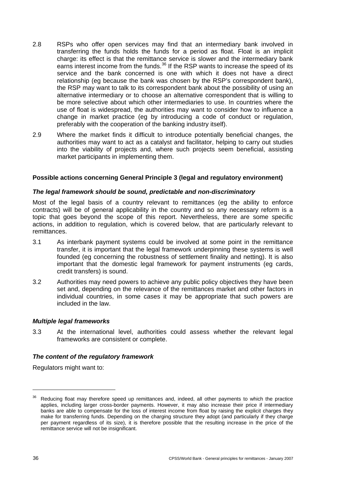- <span id="page-41-0"></span>2.8 RSPs who offer open services may find that an intermediary bank involved in transferring the funds holds the funds for a period as float. Float is an implicit charge: its effect is that the remittance service is slower and the intermediary bank earns interest income from the funds.<sup>[36](#page-41-1)</sup> If the RSP wants to increase the speed of its service and the bank concerned is one with which it does not have a direct relationship (eg because the bank was chosen by the RSP's correspondent bank), the RSP may want to talk to its correspondent bank about the possibility of using an alternative intermediary or to choose an alternative correspondent that is willing to be more selective about which other intermediaries to use. In countries where the use of float is widespread, the authorities may want to consider how to influence a change in market practice (eg by introducing a code of conduct or regulation, preferably with the cooperation of the banking industry itself).
- 2.9 Where the market finds it difficult to introduce potentially beneficial changes, the authorities may want to act as a catalyst and facilitator, helping to carry out studies into the viability of projects and, where such projects seem beneficial, assisting market participants in implementing them.

#### **Possible actions concerning General Principle 3 (legal and regulatory environment)**

#### *The legal framework should be sound, predictable and non-discriminatory*

Most of the legal basis of a country relevant to remittances (eg the ability to enforce contracts) will be of general applicability in the country and so any necessary reform is a topic that goes beyond the scope of this report. Nevertheless, there are some specific actions, in addition to regulation, which is covered below, that are particularly relevant to remittances.

- 3.1 As interbank payment systems could be involved at some point in the remittance transfer, it is important that the legal framework underpinning these systems is well founded (eg concerning the robustness of settlement finality and netting). It is also important that the domestic legal framework for payment instruments (eg cards, credit transfers) is sound.
- 3.2 Authorities may need powers to achieve any public policy objectives they have been set and, depending on the relevance of the remittances market and other factors in individual countries, in some cases it may be appropriate that such powers are included in the law.

#### *Multiple legal frameworks*

3.3 At the international level, authorities could assess whether the relevant legal frameworks are consistent or complete.

#### *The content of the regulatory framework*

Regulators might want to:

<span id="page-41-1"></span>Reducing float may therefore speed up remittances and, indeed, all other payments to which the practice applies, including larger cross-border payments. However, it may also increase their price if intermediary banks are able to compensate for the loss of interest income from float by raising the explicit charges they make for transferring funds. Depending on the charging structure they adopt (and particularly if they charge per payment regardless of its size), it is therefore possible that the resulting increase in the price of the remittance service will not be insignificant.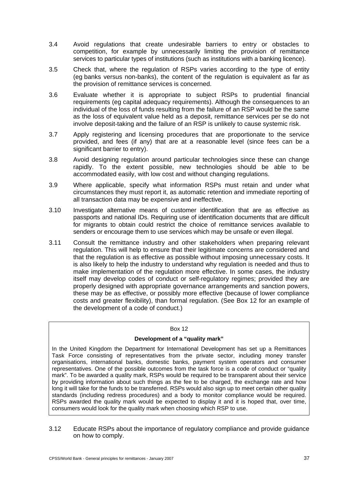- 3.4 Avoid regulations that create undesirable barriers to entry or obstacles to competition, for example by unnecessarily limiting the provision of remittance services to particular types of institutions (such as institutions with a banking licence).
- 3.5 Check that, where the regulation of RSPs varies according to the type of entity (eg banks versus non-banks), the content of the regulation is equivalent as far as the provision of remittance services is concerned.
- 3.6 Evaluate whether it is appropriate to subject RSPs to prudential financial requirements (eg capital adequacy requirements). Although the consequences to an individual of the loss of funds resulting from the failure of an RSP would be the same as the loss of equivalent value held as a deposit, remittance services per se do not involve deposit-taking and the failure of an RSP is unlikely to cause systemic risk.
- 3.7 Apply registering and licensing procedures that are proportionate to the service provided, and fees (if any) that are at a reasonable level (since fees can be a significant barrier to entry).
- 3.8 Avoid designing regulation around particular technologies since these can change rapidly. To the extent possible, new technologies should be able to be accommodated easily, with low cost and without changing regulations.
- 3.9 Where applicable, specify what information RSPs must retain and under what circumstances they must report it, as automatic retention and immediate reporting of all transaction data may be expensive and ineffective.
- 3.10 Investigate alternative means of customer identification that are as effective as passports and national IDs. Requiring use of identification documents that are difficult for migrants to obtain could restrict the choice of remittance services available to senders or encourage them to use services which may be unsafe or even illegal.
- 3.11 Consult the remittance industry and other stakeholders when preparing relevant regulation. This will help to ensure that their legitimate concerns are considered and that the regulation is as effective as possible without imposing unnecessary costs. It is also likely to help the industry to understand why regulation is needed and thus to make implementation of the regulation more effective. In some cases, the industry itself may develop codes of conduct or self-regulatory regimes; provided they are properly designed with appropriate governance arrangements and sanction powers, these may be as effective, or possibly more effective (because of lower compliance costs and greater flexibility), than formal regulation. (See Box 12 for an example of the development of a code of conduct.)

#### Box 12

#### **Development of a "quality mark"**

In the United Kingdom the Department for International Development has set up a Remittances Task Force consisting of representatives from the private sector, including money transfer organisations, international banks, domestic banks, payment system operators and consumer representatives. One of the possible outcomes from the task force is a code of conduct or "quality mark". To be awarded a quality mark, RSPs would be required to be transparent about their service by providing information about such things as the fee to be charged, the exchange rate and how long it will take for the funds to be transferred. RSPs would also sign up to meet certain other quality standards (including redress procedures) and a body to monitor compliance would be required. RSPs awarded the quality mark would be expected to display it and it is hoped that, over time, consumers would look for the quality mark when choosing which RSP to use.

3.12 Educate RSPs about the importance of regulatory compliance and provide guidance on how to comply.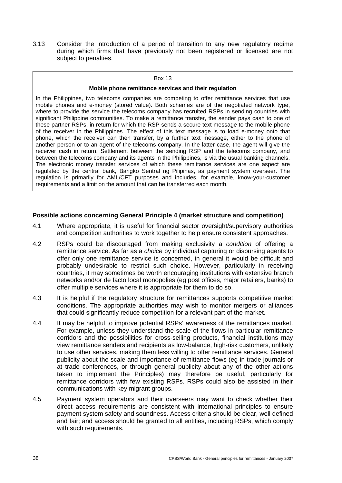<span id="page-43-0"></span>3.13 Consider the introduction of a period of transition to any new regulatory regime during which firms that have previously not been registered or licensed are not subject to penalties.

#### Box 13

#### **Mobile phone remittance services and their regulation**

In the Philippines, two telecoms companies are competing to offer remittance services that use mobile phones and e-money (stored value). Both schemes are of the negotiated network type, where to provide the service the telecoms company has recruited RSPs in sending countries with significant Philippine communities. To make a remittance transfer, the sender pays cash to one of these partner RSPs, in return for which the RSP sends a secure text message to the mobile phone of the receiver in the Philippines. The effect of this text message is to load e-money onto that phone, which the receiver can then transfer, by a further text message, either to the phone of another person or to an agent of the telecoms company. In the latter case, the agent will give the receiver cash in return. Settlement between the sending RSP and the telecoms company, and between the telecoms company and its agents in the Philippines, is via the usual banking channels. The electronic money transfer services of which these remittance services are one aspect are regulated by the central bank, Bangko Sentral ng Pilipinas, as payment system overseer. The regulation is primarily for AML/CFT purposes and includes, for example, know-your-customer requirements and a limit on the amount that can be transferred each month.

#### **Possible actions concerning General Principle 4 (market structure and competition)**

- 4.1 Where appropriate, it is useful for financial sector oversight/supervisory authorities and competition authorities to work together to help ensure consistent approaches.
- 4.2 RSPs could be discouraged from making exclusivity a *condition* of offering a remittance service. As far as a *choice* by individual capturing or disbursing agents to offer only one remittance service is concerned, in general it would be difficult and probably undesirable to restrict such choice. However, particularly in receiving countries, it may sometimes be worth encouraging institutions with extensive branch networks and/or de facto local monopolies (eg post offices, major retailers, banks) to offer multiple services where it is appropriate for them to do so.
- 4.3 It is helpful if the regulatory structure for remittances supports competitive market conditions. The appropriate authorities may wish to monitor mergers or alliances that could significantly reduce competition for a relevant part of the market.
- 4.4 It may be helpful to improve potential RSPs' awareness of the remittances market. For example, unless they understand the scale of the flows in particular remittance corridors and the possibilities for cross-selling products, financial institutions may view remittance senders and recipients as low-balance, high-risk customers, unlikely to use other services, making them less willing to offer remittance services. General publicity about the scale and importance of remittance flows (eg in trade journals or at trade conferences, or through general publicity about any of the other actions taken to implement the Principles) may therefore be useful, particularly for remittance corridors with few existing RSPs. RSPs could also be assisted in their communications with key migrant groups.
- 4.5 Payment system operators and their overseers may want to check whether their direct access requirements are consistent with international principles to ensure payment system safety and soundness. Access criteria should be clear, well defined and fair; and access should be granted to all entities, including RSPs, which comply with such requirements.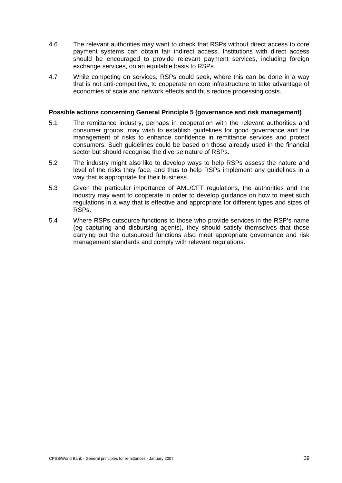- <span id="page-44-0"></span>4.6 The relevant authorities may want to check that RSPs without direct access to core payment systems can obtain fair indirect access. Institutions with direct access should be encouraged to provide relevant payment services, including foreign exchange services, on an equitable basis to RSPs.
- 4.7 While competing on services, RSPs could seek, where this can be done in a way that is not anti-competitive, to cooperate on core infrastructure to take advantage of economies of scale and network effects and thus reduce processing costs.

#### **Possible actions concerning General Principle 5 (governance and risk management)**

- 5.1 The remittance industry, perhaps in cooperation with the relevant authorities and consumer groups, may wish to establish guidelines for good governance and the management of risks to enhance confidence in remittance services and protect consumers. Such guidelines could be based on those already used in the financial sector but should recognise the diverse nature of RSPs.
- 5.2 The industry might also like to develop ways to help RSPs assess the nature and level of the risks they face, and thus to help RSPs implement any guidelines in a way that is appropriate for their business.
- 5.3 Given the particular importance of AML/CFT regulations, the authorities and the industry may want to cooperate in order to develop guidance on how to meet such regulations in a way that is effective and appropriate for different types and sizes of RSPs.
- 5.4 Where RSPs outsource functions to those who provide services in the RSP's name (eg capturing and disbursing agents), they should satisfy themselves that those carrying out the outsourced functions also meet appropriate governance and risk management standards and comply with relevant regulations.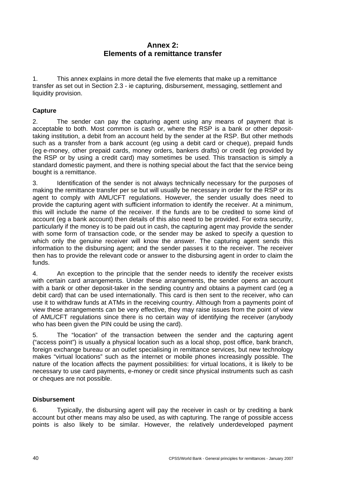# **Annex 2: Elements of a remittance transfer**

<span id="page-45-0"></span>1. This annex explains in more detail the five elements that make up a remittance transfer as set out in Section 2.3 - ie capturing, disbursement, messaging, settlement and liquidity provision.

# **Capture**

2. The sender can pay the capturing agent using any means of payment that is acceptable to both. Most common is cash or, where the RSP is a bank or other deposittaking institution, a debit from an account held by the sender at the RSP. But other methods such as a transfer from a bank account (eg using a debit card or cheque), prepaid funds (eg e-money, other prepaid cards, money orders, bankers drafts) or credit (eg provided by the RSP or by using a credit card) may sometimes be used. This transaction is simply a standard domestic payment, and there is nothing special about the fact that the service being bought is a remittance.

3. Identification of the sender is not always technically necessary for the purposes of making the remittance transfer per se but will usually be necessary in order for the RSP or its agent to comply with AML/CFT regulations. However, the sender usually does need to provide the capturing agent with sufficient information to identify the receiver. At a minimum, this will include the name of the receiver. If the funds are to be credited to some kind of account (eg a bank account) then details of this also need to be provided. For extra security, particularly if the money is to be paid out in cash, the capturing agent may provide the sender with some form of transaction code, or the sender may be asked to specify a question to which only the genuine receiver will know the answer. The capturing agent sends this information to the disbursing agent; and the sender passes it to the receiver. The receiver then has to provide the relevant code or answer to the disbursing agent in order to claim the funds.

4. An exception to the principle that the sender needs to identify the receiver exists with certain card arrangements. Under these arrangements, the sender opens an account with a bank or other deposit-taker in the sending country and obtains a payment card (eg a debit card) that can be used internationally. This card is then sent to the receiver, who can use it to withdraw funds at ATMs in the receiving country. Although from a payments point of view these arrangements can be very effective, they may raise issues from the point of view of AML/CFT regulations since there is no certain way of identifying the receiver (anybody who has been given the PIN could be using the card).

5. The "location" of the transaction between the sender and the capturing agent ("access point") is usually a physical location such as a local shop, post office, bank branch, foreign exchange bureau or an outlet specialising in remittance services, but new technology makes "virtual locations" such as the internet or mobile phones increasingly possible. The nature of the location affects the payment possibilities: for virtual locations, it is likely to be necessary to use card payments, e-money or credit since physical instruments such as cash or cheques are not possible.

## **Disbursement**

6. Typically, the disbursing agent will pay the receiver in cash or by crediting a bank account but other means may also be used, as with capturing. The range of possible access points is also likely to be similar. However, the relatively underdeveloped payment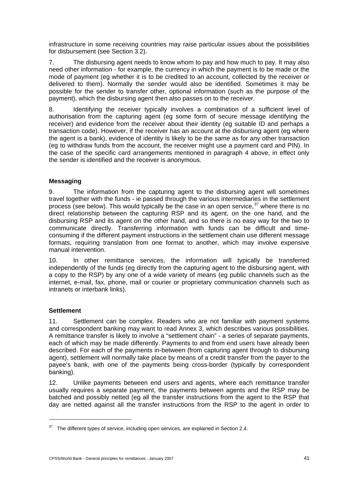<span id="page-46-0"></span>infrastructure in some receiving countries may raise particular issues about the possibilities for disbursement (see Section 3.2).

7. The disbursing agent needs to know whom to pay and how much to pay. It may also need other information - for example, the currency in which the payment is to be made or the mode of payment (eg whether it is to be credited to an account, collected by the receiver or delivered to them). Normally the sender would also be identified. Sometimes it may be possible for the sender to transfer other, optional information (such as the purpose of the payment), which the disbursing agent then also passes on to the receiver.

8. Identifying the receiver typically involves a combination of a sufficient level of authorisation from the capturing agent (eg some form of secure message identifying the receiver) and evidence from the receiver about their identity (eg suitable ID and perhaps a transaction code). However, if the receiver has an account at the disbursing agent (eg where the agent is a bank), evidence of identity is likely to be the same as for any other transaction (eg to withdraw funds from the account, the receiver might use a payment card and PIN). In the case of the specific card arrangements mentioned in paragraph 4 above, in effect only the sender is identified and the receiver is anonymous.

## **Messaging**

9. The information from the capturing agent to the disbursing agent will sometimes travel together with the funds - ie passed through the various intermediaries in the settlement process (see below). This would typically be the case in an open service,  $37$  where there is no direct relationship between the capturing RSP and its agent, on the one hand, and the disbursing RSP and its agent on the other hand, and so there is no easy way for the two to communicate directly. Transferring information with funds can be difficult and timeconsuming if the different payment instructions in the settlement chain use different message formats, requiring translation from one format to another, which may involve expensive manual intervention.

10. In other remittance services, the information will typically be transferred independently of the funds (eg directly from the capturing agent to the disbursing agent, with a copy to the RSP) by any one of a wide variety of means (eg public channels such as the internet, e-mail, fax, phone, mail or courier or proprietary communication channels such as intranets or interbank links).

## **Settlement**

1

11. Settlement can be complex. Readers who are not familiar with payment systems and correspondent banking may want to read Annex 3, which describes various possibilities. A remittance transfer is likely to involve a "settlement chain" - a series of separate payments, each of which may be made differently. Payments to and from end users have already been described. For each of the payments in-between (from capturing agent through to disbursing agent), settlement will normally take place by means of a credit transfer from the payer to the payee's bank, with one of the payments being cross-border (typically by correspondent banking).

12. Unlike payments between end users and agents, where each remittance transfer usually requires a separate payment, the payments between agents and the RSP may be batched and possibly netted (eg all the transfer instructions from the agent to the RSP that day are netted against all the transfer instructions from the RSP to the agent in order to

<span id="page-46-1"></span> $37$  The different types of service, including open services, are explained in Section 2.4.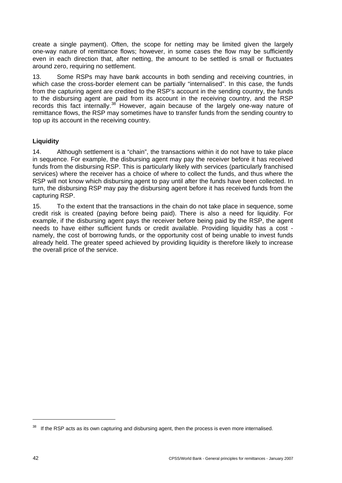<span id="page-47-0"></span>create a single payment). Often, the scope for netting may be limited given the largely one-way nature of remittance flows; however, in some cases the flow may be sufficiently even in each direction that, after netting, the amount to be settled is small or fluctuates around zero, requiring no settlement.

13. Some RSPs may have bank accounts in both sending and receiving countries, in which case the cross-border element can be partially "internalised". In this case, the funds from the capturing agent are credited to the RSP's account in the sending country, the funds to the disbursing agent are paid from its account in the receiving country, and the RSP records this fact internally.<sup>[38](#page-47-1)</sup> However, again because of the largely one-way nature of remittance flows, the RSP may sometimes have to transfer funds from the sending country to top up its account in the receiving country.

## **Liquidity**

14. Although settlement is a "chain", the transactions within it do not have to take place in sequence. For example, the disbursing agent may pay the receiver before it has received funds from the disbursing RSP. This is particularly likely with services (particularly franchised services) where the receiver has a choice of where to collect the funds, and thus where the RSP will not know which disbursing agent to pay until after the funds have been collected. In turn, the disbursing RSP may pay the disbursing agent before it has received funds from the capturing RSP.

15. To the extent that the transactions in the chain do not take place in sequence, some credit risk is created (paying before being paid). There is also a need for liquidity. For example, if the disbursing agent pays the receiver before being paid by the RSP, the agent needs to have either sufficient funds or credit available. Providing liquidity has a cost namely, the cost of borrowing funds, or the opportunity cost of being unable to invest funds already held. The greater speed achieved by providing liquidity is therefore likely to increase the overall price of the service.

<span id="page-47-1"></span><sup>&</sup>lt;sup>38</sup> If the RSP acts as its own capturing and disbursing agent, then the process is even more internalised.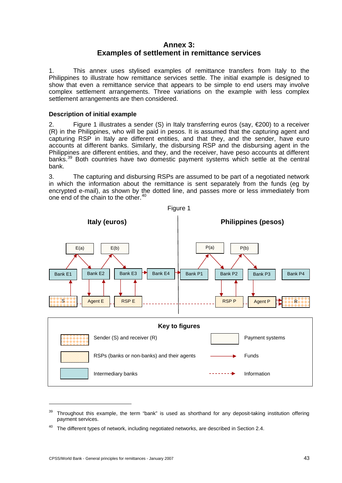# **Annex 3: Examples of settlement in remittance services**

<span id="page-48-0"></span>1. This annex uses stylised examples of remittance transfers from Italy to the Philippines to illustrate how remittance services settle. The initial example is designed to show that even a remittance service that appears to be simple to end users may involve complex settlement arrangements. Three variations on the example with less complex settlement arrangements are then considered.

## **Description of initial example**

2. Figure 1 illustrates a sender (S) in Italy transferring euros (say,  $\epsilon$ 200) to a receiver (R) in the Philippines, who will be paid in pesos. It is assumed that the capturing agent and capturing RSP in Italy are different entities, and that they, and the sender, have euro accounts at different banks. Similarly, the disbursing RSP and the disbursing agent in the Philippines are different entities, and they, and the receiver, have peso accounts at different banks.<sup>[39](#page-48-1)</sup> Both countries have two domestic payment systems which settle at the central bank.

3. The capturing and disbursing RSPs are assumed to be part of a negotiated network in which the information about the remittance is sent separately from the funds (eg by encrypted e-mail), as shown by the dotted line, and passes more or less immediately from one end of the chain to the other.<sup>[40](#page-48-2)</sup>



<span id="page-48-1"></span>Throughout this example, the term "bank" is used as shorthand for any deposit-taking institution offering payment services.

<span id="page-48-2"></span> $40$  The different types of network, including negotiated networks, are described in Section 2.4.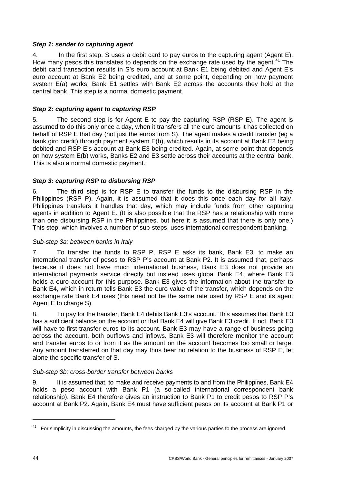## *Step 1: sender to capturing agent*

4. In the first step, S uses a debit card to pay euros to the capturing agent (Agent E). How many pesos this translates to depends on the exchange rate used by the agent.<sup>[41](#page-49-0)</sup> The debit card transaction results in S's euro account at Bank E1 being debited and Agent E's euro account at Bank E2 being credited, and at some point, depending on how payment system E(a) works, Bank E1 settles with Bank E2 across the accounts they hold at the central bank. This step is a normal domestic payment.

## *Step 2: capturing agent to capturing RSP*

5. The second step is for Agent E to pay the capturing RSP (RSP E). The agent is assumed to do this only once a day, when it transfers all the euro amounts it has collected on behalf of RSP E that day (not just the euros from S). The agent makes a credit transfer (eg a bank giro credit) through payment system E(b), which results in its account at Bank E2 being debited and RSP E's account at Bank E3 being credited. Again, at some point that depends on how system E(b) works, Banks E2 and E3 settle across their accounts at the central bank. This is also a normal domestic payment.

# *Step 3: capturing RSP to disbursing RSP*

6. The third step is for RSP E to transfer the funds to the disbursing RSP in the Philippines (RSP P). Again, it is assumed that it does this once each day for all Italy-Philippines transfers it handles that day, which may include funds from other capturing agents in addition to Agent E. (It is also possible that the RSP has a relationship with more than one disbursing RSP in the Philippines, but here it is assumed that there is only one.) This step, which involves a number of sub-steps, uses international correspondent banking.

## *Sub-step 3a: between banks in Italy*

7. To transfer the funds to RSP P, RSP E asks its bank, Bank E3, to make an international transfer of pesos to RSP P's account at Bank P2. It is assumed that, perhaps because it does not have much international business, Bank E3 does not provide an international payments service directly but instead uses global Bank E4, where Bank E3 holds a euro account for this purpose. Bank E3 gives the information about the transfer to Bank E4, which in return tells Bank E3 the euro value of the transfer, which depends on the exchange rate Bank E4 uses (this need not be the same rate used by RSP E and its agent Agent E to charge S).

8. To pay for the transfer, Bank E4 debits Bank E3's account. This assumes that Bank E3 has a sufficient balance on the account or that Bank E4 will give Bank E3 credit. If not, Bank E3 will have to first transfer euros to its account. Bank E3 may have a range of business going across the account, both outflows and inflows. Bank E3 will therefore monitor the account and transfer euros to or from it as the amount on the account becomes too small or large. Any amount transferred on that day may thus bear no relation to the business of RSP E, let alone the specific transfer of S.

## *Sub-step 3b: cross-border transfer between banks*

9. It is assumed that, to make and receive payments to and from the Philippines, Bank E4 holds a peso account with Bank P1 (a so-called international correspondent bank relationship). Bank E4 therefore gives an instruction to Bank P1 to credit pesos to RSP P's account at Bank P2. Again, Bank E4 must have sufficient pesos on its account at Bank P1 or

<span id="page-49-0"></span><sup>&</sup>lt;sup>41</sup> For simplicity in discussing the amounts, the fees charged by the various parties to the process are ignored.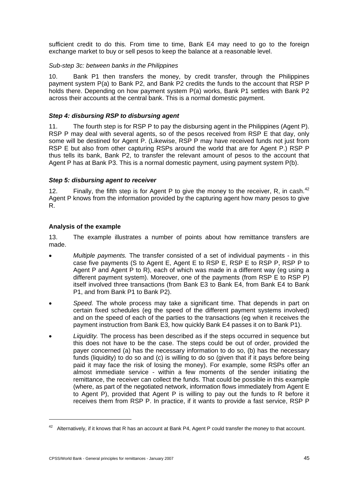<span id="page-50-0"></span>sufficient credit to do this. From time to time, Bank E4 may need to go to the foreign exchange market to buy or sell pesos to keep the balance at a reasonable level.

## *Sub-step 3c: between banks in the Philippines*

10. Bank P1 then transfers the money, by credit transfer, through the Philippines payment system P(a) to Bank P2, and Bank P2 credits the funds to the account that RSP P holds there. Depending on how payment system P(a) works, Bank P1 settles with Bank P2 across their accounts at the central bank. This is a normal domestic payment.

## *Step 4: disbursing RSP to disbursing agent*

11. The fourth step is for RSP P to pay the disbursing agent in the Philippines (Agent P). RSP P may deal with several agents, so of the pesos received from RSP E that day, only some will be destined for Agent P. (Likewise, RSP P may have received funds not just from RSP E but also from other capturing RSPs around the world that are for Agent P.) RSP P thus tells its bank, Bank P2, to transfer the relevant amount of pesos to the account that Agent P has at Bank P3. This is a normal domestic payment, using payment system P(b).

## *Step 5: disbursing agent to receiver*

12. Finally, the fifth step is for Agent P to give the money to the receiver, R, in cash.<sup>[42](#page-50-1)</sup> Agent P knows from the information provided by the capturing agent how many pesos to give R.

## **Analysis of the example**

13. The example illustrates a number of points about how remittance transfers are made.

- *Multiple payments.* The transfer consisted of a set of individual payments in this case five payments (S to Agent E, Agent E to RSP E, RSP E to RSP P, RSP P to Agent P and Agent P to R), each of which was made in a different way (eg using a different payment system). Moreover, one of the payments (from RSP E to RSP P) itself involved three transactions (from Bank E3 to Bank E4, from Bank E4 to Bank P1, and from Bank P1 to Bank P2).
- *Speed.* The whole process may take a significant time. That depends in part on certain fixed schedules (eg the speed of the different payment systems involved) and on the speed of each of the parties to the transactions (eg when it receives the payment instruction from Bank E3, how quickly Bank E4 passes it on to Bank P1).
- *Liquidity.* The process has been described as if the steps occurred in sequence but this does not have to be the case. The steps could be out of order, provided the payer concerned (a) has the necessary information to do so, (b) has the necessary funds (liquidity) to do so and (c) is willing to do so (given that if it pays before being paid it may face the risk of losing the money). For example, some RSPs offer an almost immediate service - within a few moments of the sender initiating the remittance, the receiver can collect the funds. That could be possible in this example (where, as part of the negotiated network, information flows immediately from Agent E to Agent P), provided that Agent P is willing to pay out the funds to R before it receives them from RSP P. In practice, if it wants to provide a fast service, RSP P

<span id="page-50-1"></span> $42$  Alternatively, if it knows that R has an account at Bank P4, Agent P could transfer the money to that account.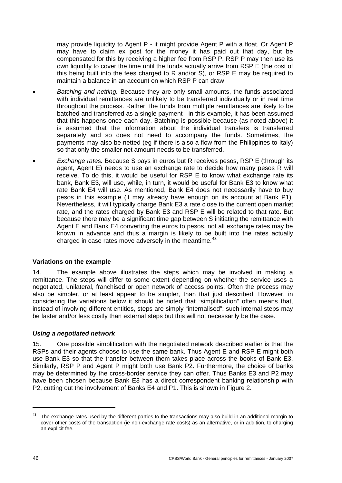<span id="page-51-0"></span>may provide liquidity to Agent P - it might provide Agent P with a float. Or Agent P may have to claim ex post for the money it has paid out that day, but be compensated for this by receiving a higher fee from RSP P. RSP P may then use its own liquidity to cover the time until the funds actually arrive from RSP E (the cost of this being built into the fees charged to R and/or S), or RSP E may be required to maintain a balance in an account on which RSP P can draw.

- *Batching and netting.* Because they are only small amounts, the funds associated with individual remittances are unlikely to be transferred individually or in real time throughout the process. Rather, the funds from multiple remittances are likely to be batched and transferred as a single payment - in this example, it has been assumed that this happens once each day. Batching is possible because (as noted above) it is assumed that the information about the individual transfers is transferred separately and so does not need to accompany the funds. Sometimes, the payments may also be netted (eg if there is also a flow from the Philippines to Italy) so that only the smaller net amount needs to be transferred.
- *Exchange rates.* Because S pays in euros but R receives pesos, RSP E (through its agent, Agent E) needs to use an exchange rate to decide how many pesos R will receive. To do this, it would be useful for RSP E to know what exchange rate its bank, Bank E3, will use, while, in turn, it would be useful for Bank E3 to know what rate Bank E4 will use. As mentioned, Bank E4 does not necessarily have to buy pesos in this example (it may already have enough on its account at Bank P1). Nevertheless, it will typically charge Bank E3 a rate close to the current open market rate, and the rates charged by Bank E3 and RSP E will be related to that rate. But because there may be a significant time gap between S initiating the remittance with Agent E and Bank E4 converting the euros to pesos, not all exchange rates may be known in advance and thus a margin is likely to be built into the rates actually charged in case rates move adversely in the meantime. $43$  $43$

## **Variations on the example**

14. The example above illustrates the steps which may be involved in making a remittance. The steps will differ to some extent depending on whether the service uses a negotiated, unilateral, franchised or open network of access points. Often the process may also be simpler, or at least appear to be simpler, than that just described. However, in considering the variations below it should be noted that "simplification" often means that, instead of involving different entities, steps are simply "internalised"; such internal steps may be faster and/or less costly than external steps but this will not necessarily be the case.

#### *Using a negotiated network*

15. One possible simplification with the negotiated network described earlier is that the RSPs and their agents choose to use the same bank. Thus Agent E and RSP E might both use Bank E3 so that the transfer between them takes place across the books of Bank E3. Similarly, RSP P and Agent P might both use Bank P2. Furthermore, the choice of banks may be determined by the cross-border service they can offer. Thus Banks E3 and P2 may have been chosen because Bank E3 has a direct correspondent banking relationship with P2, cutting out the involvement of Banks E4 and P1. This is shown in Figure 2.

<span id="page-51-1"></span><sup>&</sup>lt;sup>43</sup> The exchange rates used by the different parties to the transactions may also build in an additional margin to cover other costs of the transaction (ie non-exchange rate costs) as an alternative, or in addition, to charging an explicit fee.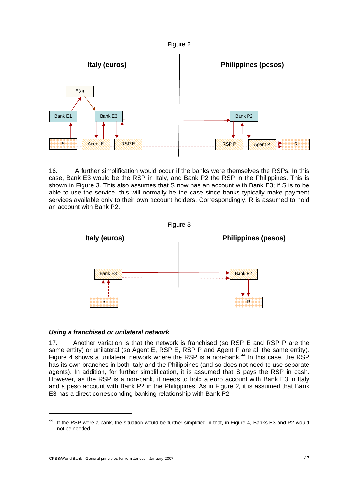



16. A further simplification would occur if the banks were themselves the RSPs. In this case, Bank E3 would be the RSP in Italy, and Bank P2 the RSP in the Philippines. This is shown in Figure 3. This also assumes that S now has an account with Bank E3; if S is to be able to use the service, this will normally be the case since banks typically make payment services available only to their own account holders. Correspondingly, R is assumed to hold an account with Bank P2.





#### *Using a franchised or unilateral network*

17. Another variation is that the network is franchised (so RSP E and RSP P are the same entity) or unilateral (so Agent E, RSP E, RSP P and Agent P are all the same entity). Figure 4 shows a unilateral network where the RSP is a non-bank.<sup>[44](#page-52-0)</sup> In this case, the RSP has its own branches in both Italy and the Philippines (and so does not need to use separate agents). In addition, for further simplification, it is assumed that S pays the RSP in cash. However, as the RSP is a non-bank, it needs to hold a euro account with Bank E3 in Italy and a peso account with Bank P2 in the Philippines. As in Figure 2, it is assumed that Bank E3 has a direct corresponding banking relationship with Bank P2.

 $\overline{a}$ 

<span id="page-52-0"></span><sup>&</sup>lt;sup>44</sup> If the RSP were a bank, the situation would be further simplified in that, in Figure 4, Banks E3 and P2 would not be needed.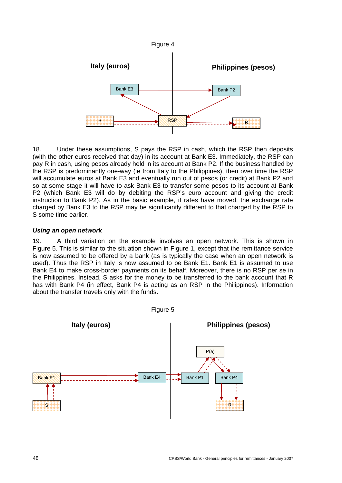

18. Under these assumptions, S pays the RSP in cash, which the RSP then deposits (with the other euros received that day) in its account at Bank E3. Immediately, the RSP can pay R in cash, using pesos already held in its account at Bank P2. If the business handled by the RSP is predominantly one-way (ie from Italy to the Philippines), then over time the RSP will accumulate euros at Bank E3 and eventually run out of pesos (or credit) at Bank P2 and so at some stage it will have to ask Bank E3 to transfer some pesos to its account at Bank P2 (which Bank E3 will do by debiting the RSP's euro account and giving the credit instruction to Bank P2). As in the basic example, if rates have moved, the exchange rate charged by Bank E3 to the RSP may be significantly different to that charged by the RSP to S some time earlier.

## *Using an open network*

19. A third variation on the example involves an open network. This is shown in Figure 5. This is similar to the situation shown in Figure 1, except that the remittance service is now assumed to be offered by a bank (as is typically the case when an open network is used). Thus the RSP in Italy is now assumed to be Bank E1. Bank E1 is assumed to use Bank E4 to make cross-border payments on its behalf. Moreover, there is no RSP per se in the Philippines. Instead, S asks for the money to be transferred to the bank account that R has with Bank P4 (in effect, Bank P4 is acting as an RSP in the Philippines). Information about the transfer travels only with the funds.

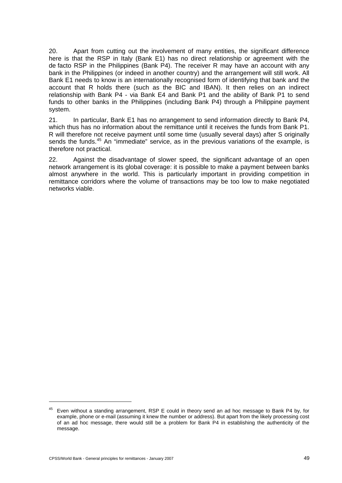20. Apart from cutting out the involvement of many entities, the significant difference here is that the RSP in Italy (Bank E1) has no direct relationship or agreement with the de facto RSP in the Philippines (Bank P4). The receiver R may have an account with any bank in the Philippines (or indeed in another country) and the arrangement will still work. All Bank E1 needs to know is an internationally recognised form of identifying that bank and the account that R holds there (such as the BIC and IBAN). It then relies on an indirect relationship with Bank P4 - via Bank E4 and Bank P1 and the ability of Bank P1 to send funds to other banks in the Philippines (including Bank P4) through a Philippine payment system.

21. In particular, Bank E1 has no arrangement to send information directly to Bank P4, which thus has no information about the remittance until it receives the funds from Bank P1. R will therefore not receive payment until some time (usually several days) after S originally sends the funds.<sup>[45](#page-54-0)</sup> An "immediate" service, as in the previous variations of the example, is therefore not practical.

22. Against the disadvantage of slower speed, the significant advantage of an open network arrangement is its global coverage: it is possible to make a payment between banks almost anywhere in the world. This is particularly important in providing competition in remittance corridors where the volume of transactions may be too low to make negotiated networks viable.

<span id="page-54-0"></span><sup>45</sup> Even without a standing arrangement, RSP E could in theory send an ad hoc message to Bank P4 by, for example, phone or e-mail (assuming it knew the number or address). But apart from the likely processing cost of an ad hoc message, there would still be a problem for Bank P4 in establishing the authenticity of the message.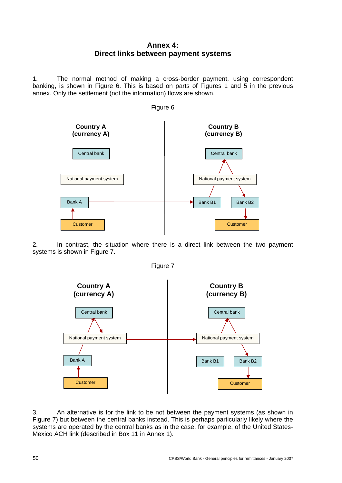# **Annex 4: Direct links between payment systems**

<span id="page-55-0"></span>1. The normal method of making a cross-border payment, using correspondent banking, is shown in Figure 6. This is based on parts of Figures 1 and 5 in the previous annex. Only the settlement (not the information) flows are shown.









3. An alternative is for the link to be not between the payment systems (as shown in Figure 7) but between the central banks instead. This is perhaps particularly likely where the systems are operated by the central banks as in the case, for example, of the United States-Mexico ACH link (described in Box 11 in Annex 1).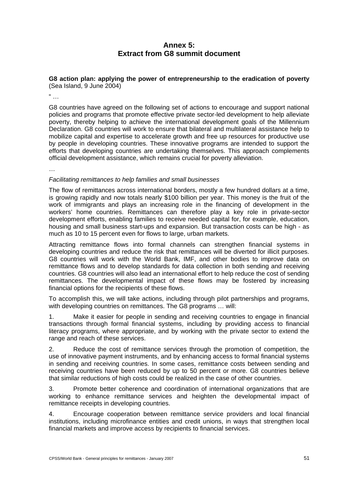# **Annex 5: Extract from G8 summit document**

#### <span id="page-56-0"></span>**G8 action plan: applying the power of entrepreneurship to the eradication of poverty** (Sea Island, 9 June 2004)

 $\frac{a}{\cdot}$ .

G8 countries have agreed on the following set of actions to encourage and support national policies and programs that promote effective private sector-led development to help alleviate poverty, thereby helping to achieve the international development goals of the Millennium Declaration. G8 countries will work to ensure that bilateral and multilateral assistance help to mobilize capital and expertise to accelerate growth and free up resources for productive use by people in developing countries. These innovative programs are intended to support the efforts that developing countries are undertaking themselves. This approach complements official development assistance, which remains crucial for poverty alleviation.

…

## *Facilitating remittances to help families and small businesses*

The flow of remittances across international borders, mostly a few hundred dollars at a time, is growing rapidly and now totals nearly \$100 billion per year. This money is the fruit of the work of immigrants and plays an increasing role in the financing of development in the workers' home countries. Remittances can therefore play a key role in private-sector development efforts, enabling families to receive needed capital for, for example, education, housing and small business start-ups and expansion. But transaction costs can be high - as much as 10 to 15 percent even for flows to large, urban markets.

Attracting remittance flows into formal channels can strengthen financial systems in developing countries and reduce the risk that remittances will be diverted for illicit purposes. G8 countries will work with the World Bank, IMF, and other bodies to improve data on remittance flows and to develop standards for data collection in both sending and receiving countries. G8 countries will also lead an international effort to help reduce the cost of sending remittances. The developmental impact of these flows may be fostered by increasing financial options for the recipients of these flows.

To accomplish this, we will take actions, including through pilot partnerships and programs, with developing countries on remittances. The G8 programs … will:

1. Make it easier for people in sending and receiving countries to engage in financial transactions through formal financial systems, including by providing access to financial literacy programs, where appropriate, and by working with the private sector to extend the range and reach of these services.

2. Reduce the cost of remittance services through the promotion of competition, the use of innovative payment instruments, and by enhancing access to formal financial systems in sending and receiving countries. In some cases, remittance costs between sending and receiving countries have been reduced by up to 50 percent or more. G8 countries believe that similar reductions of high costs could be realized in the case of other countries.

3. Promote better coherence and coordination of international organizations that are working to enhance remittance services and heighten the developmental impact of remittance receipts in developing countries.

4. Encourage cooperation between remittance service providers and local financial institutions, including microfinance entities and credit unions, in ways that strengthen local financial markets and improve access by recipients to financial services.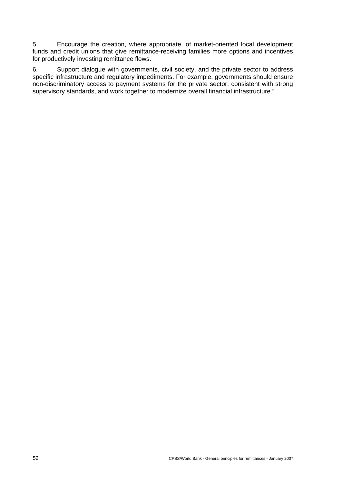5. Encourage the creation, where appropriate, of market-oriented local development funds and credit unions that give remittance-receiving families more options and incentives for productively investing remittance flows.

6. Support dialogue with governments, civil society, and the private sector to address specific infrastructure and regulatory impediments. For example, governments should ensure non-discriminatory access to payment systems for the private sector, consistent with strong supervisory standards, and work together to modernize overall financial infrastructure."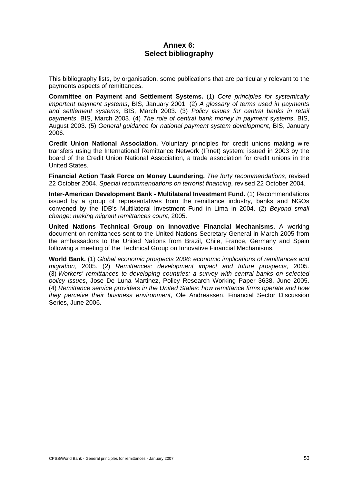# **Annex 6: Select bibliography**

<span id="page-58-0"></span>This bibliography lists, by organisation, some publications that are particularly relevant to the payments aspects of remittances.

**Committee on Payment and Settlement Systems.** (1) *Core principles for systemically important payment systems*, BIS, January 2001. (2) *A glossary of terms used in payments and settlement systems*, BIS, March 2003. (3) *Policy issues for central banks in retail payments*, BIS, March 2003. (4) *The role of central bank money in payment systems*, BIS, August 2003. (5) *General guidance for national payment system development*, BIS, January 2006.

**Credit Union National Association.** Voluntary principles for credit unions making wire transfers using the International Remittance Network (IRnet) system; issued in 2003 by the board of the Credit Union National Association, a trade association for credit unions in the United States.

**Financial Action Task Force on Money Laundering.** *The forty recommendations*, revised 22 October 2004. *Special recommendations on terrorist financing*, revised 22 October 2004.

**Inter-American Development Bank - Multilateral Investment Fund.** (1) Recommendations issued by a group of representatives from the remittance industry, banks and NGOs convened by the IDB's Multilateral Investment Fund in Lima in 2004. (2) *Beyond small change: making migrant remittances count*, 2005.

**United Nations Technical Group on Innovative Financial Mechanisms.** A working document on remittances sent to the United Nations Secretary General in March 2005 from the ambassadors to the United Nations from Brazil, Chile, France, Germany and Spain following a meeting of the Technical Group on Innovative Financial Mechanisms.

**World Bank.** (1) *Global economic prospects 2006: economic implications of remittances and migration*, 2005. (2) *Remittances: development impact and future prospects*, 2005. (3) *Workers' remittances to developing countries: a survey with central banks on selected policy issues*, Jose De Luna Martinez, Policy Research Working Paper 3638, June 2005. (4) *Remittance service providers in the United States: how remittance firms operate and how they perceive their business environment*, Ole Andreassen, Financial Sector Discussion Series, June 2006.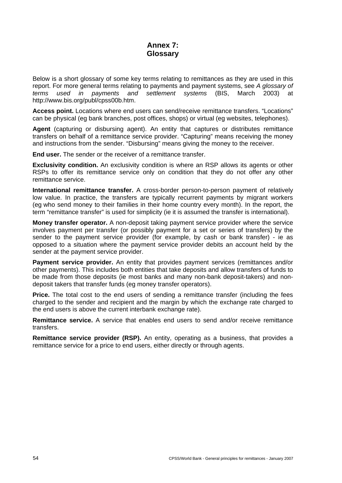# **Annex 7: Glossary**

<span id="page-59-0"></span>Below is a short glossary of some key terms relating to remittances as they are used in this report. For more general terms relating to payments and payment systems, see *A glossary of terms used in payments and settlement systems* (BIS, March 2003) at http://www.bis.org/publ/cpss00b.htm.

**Access point.** Locations where end users can send/receive remittance transfers. "Locations" can be physical (eg bank branches, post offices, shops) or virtual (eg websites, telephones).

**Agent** (capturing or disbursing agent). An entity that captures or distributes remittance transfers on behalf of a remittance service provider. "Capturing" means receiving the money and instructions from the sender. "Disbursing" means giving the money to the receiver.

**End user.** The sender or the receiver of a remittance transfer.

**Exclusivity condition.** An exclusivity condition is where an RSP allows its agents or other RSPs to offer its remittance service only on condition that they do not offer any other remittance service.

**International remittance transfer.** A cross-border person-to-person payment of relatively low value. In practice, the transfers are typically recurrent payments by migrant workers (eg who send money to their families in their home country every month). In the report, the term "remittance transfer" is used for simplicity (ie it is assumed the transfer is international).

**Money transfer operator.** A non-deposit taking payment service provider where the service involves payment per transfer (or possibly payment for a set or series of transfers) by the sender to the payment service provider (for example, by cash or bank transfer) - ie as opposed to a situation where the payment service provider debits an account held by the sender at the payment service provider.

**Payment service provider.** An entity that provides payment services (remittances and/or other payments). This includes both entities that take deposits and allow transfers of funds to be made from those deposits (ie most banks and many non-bank deposit-takers) and nondeposit takers that transfer funds (eg money transfer operators).

**Price.** The total cost to the end users of sending a remittance transfer (including the fees charged to the sender and recipient and the margin by which the exchange rate charged to the end users is above the current interbank exchange rate).

**Remittance service.** A service that enables end users to send and/or receive remittance transfers.

**Remittance service provider (RSP).** An entity, operating as a business, that provides a remittance service for a price to end users, either directly or through agents.